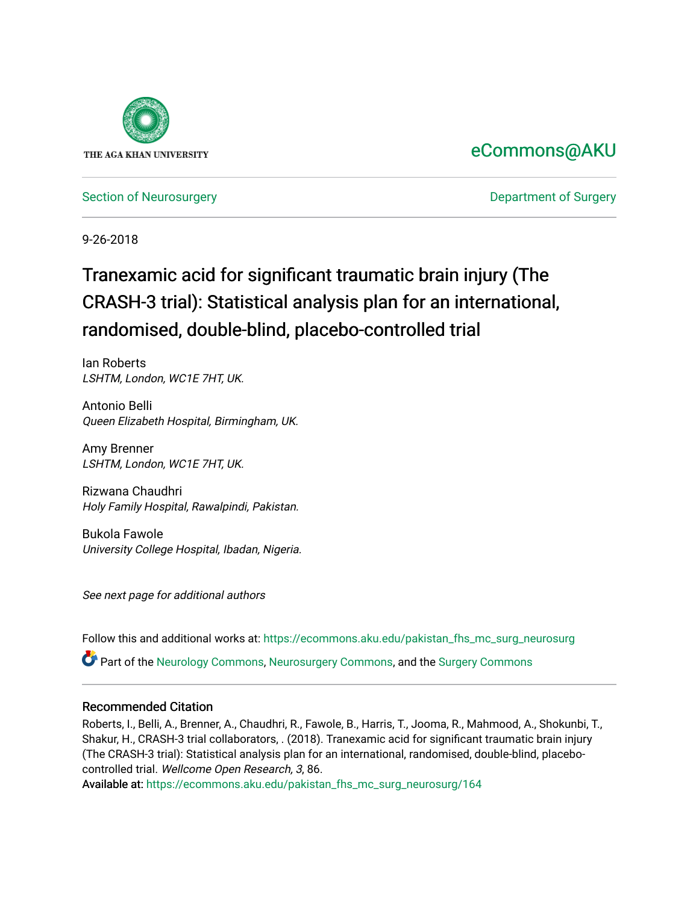

# [eCommons@AKU](https://ecommons.aku.edu/)

[Section of Neurosurgery](https://ecommons.aku.edu/pakistan_fhs_mc_surg_neurosurg) **Department of Surgery** Department of Surgery

9-26-2018

# Tranexamic acid for significant traumatic brain injury (The CRASH-3 trial): Statistical analysis plan for an international, randomised, double-blind, placebo-controlled trial

Ian Roberts LSHTM, London, WC1E 7HT, UK.

Antonio Belli Queen Elizabeth Hospital, Birmingham, UK.

Amy Brenner LSHTM, London, WC1E 7HT, UK.

Rizwana Chaudhri Holy Family Hospital, Rawalpindi, Pakistan.

Bukola Fawole University College Hospital, Ibadan, Nigeria.

See next page for additional authors

Follow this and additional works at: [https://ecommons.aku.edu/pakistan\\_fhs\\_mc\\_surg\\_neurosurg](https://ecommons.aku.edu/pakistan_fhs_mc_surg_neurosurg?utm_source=ecommons.aku.edu%2Fpakistan_fhs_mc_surg_neurosurg%2F164&utm_medium=PDF&utm_campaign=PDFCoverPages) 

Part of the [Neurology Commons](http://network.bepress.com/hgg/discipline/692?utm_source=ecommons.aku.edu%2Fpakistan_fhs_mc_surg_neurosurg%2F164&utm_medium=PDF&utm_campaign=PDFCoverPages), [Neurosurgery Commons](http://network.bepress.com/hgg/discipline/1428?utm_source=ecommons.aku.edu%2Fpakistan_fhs_mc_surg_neurosurg%2F164&utm_medium=PDF&utm_campaign=PDFCoverPages), and the [Surgery Commons](http://network.bepress.com/hgg/discipline/706?utm_source=ecommons.aku.edu%2Fpakistan_fhs_mc_surg_neurosurg%2F164&utm_medium=PDF&utm_campaign=PDFCoverPages) 

## Recommended Citation

Roberts, I., Belli, A., Brenner, A., Chaudhri, R., Fawole, B., Harris, T., Jooma, R., Mahmood, A., Shokunbi, T., Shakur, H., CRASH-3 trial collaborators, . (2018). Tranexamic acid for significant traumatic brain injury (The CRASH-3 trial): Statistical analysis plan for an international, randomised, double-blind, placebocontrolled trial. Wellcome Open Research, 3, 86.

Available at: [https://ecommons.aku.edu/pakistan\\_fhs\\_mc\\_surg\\_neurosurg/164](https://ecommons.aku.edu/pakistan_fhs_mc_surg_neurosurg/164)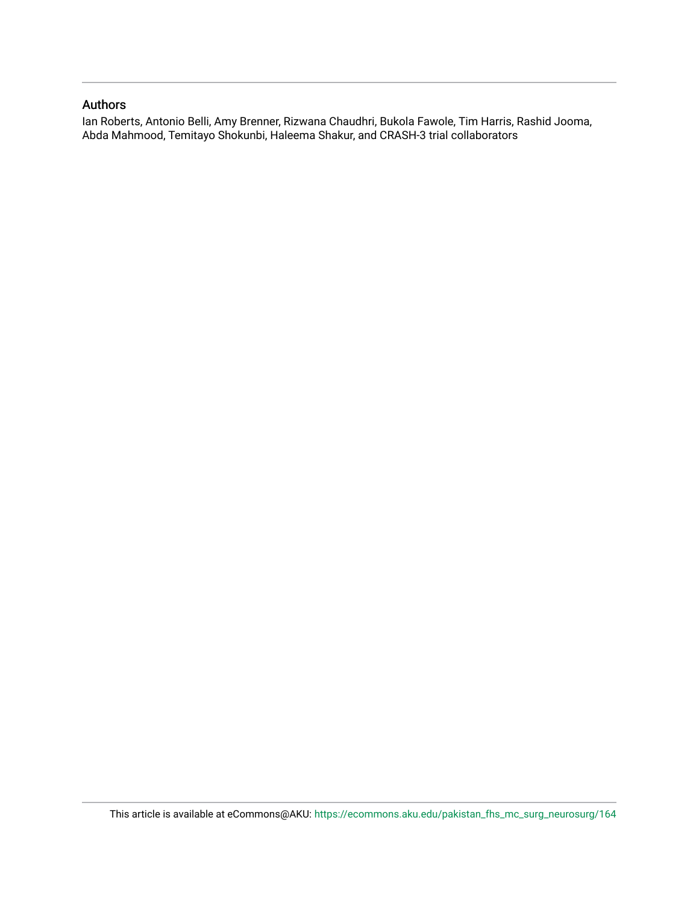# Authors

Ian Roberts, Antonio Belli, Amy Brenner, Rizwana Chaudhri, Bukola Fawole, Tim Harris, Rashid Jooma, Abda Mahmood, Temitayo Shokunbi, Haleema Shakur, and CRASH-3 trial collaborators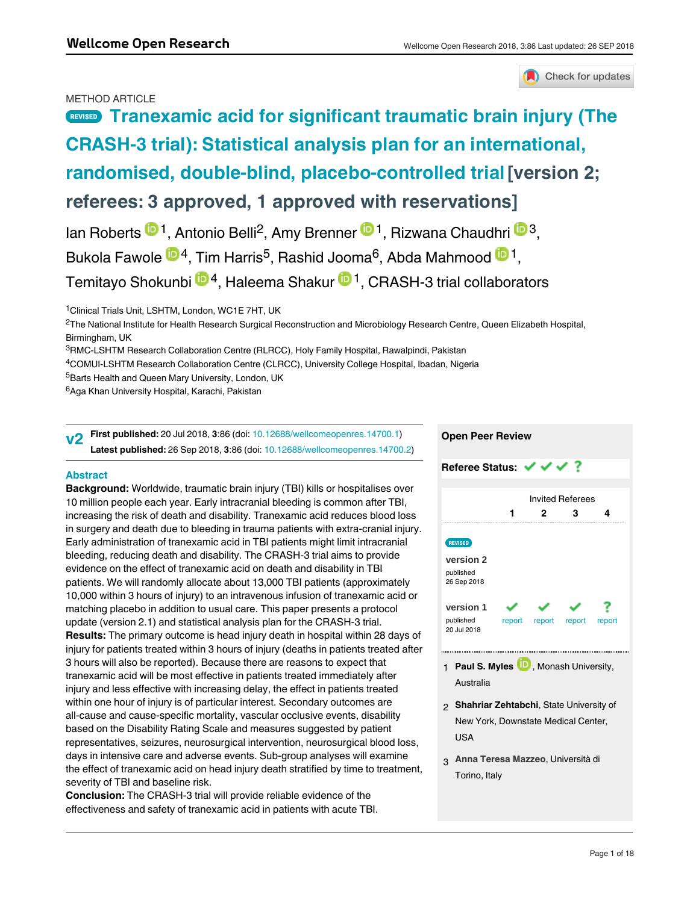### METHOD ARTICLE

# **REVISED** [Tranexamic acid for significant traumatic brain injury \(The](https://wellcomeopenresearch.org/articles/3-86/v2) **[CRASH-3 trial\): Statistical analysis plan for an international,](https://wellcomeopenresearch.org/articles/3-86/v2) [randomised, double-blind, placebo-controlled trial](https://wellcomeopenresearch.org/articles/3-86/v2) [version 2; referees: 3 approved, 1 approved with reservations]**

lan Roberts  $\mathbf{D}^1$ , Antonio Belli<sup>2</sup>, Amy Brenner  $\mathbf{D}^1$ , Rizwana Chaudhri  $\mathbf{D}^3$ , Bukola Fawole <sup>104</sup>, Tim Harris<sup>5</sup>, Rashid Jooma<sup>6</sup>, Abda Mahmood <sup>101</sup>, Temitayo Shokunbi ®4, Haleema Shakur ®<sup>1</sup>, CRASH-3 trial collaborators

<sup>1</sup> Clinical Trials Unit, LSHTM, London, WC1E 7HT, UK

 $^2$ The National Institute for Health Research Surgical Reconstruction and Microbiology Research Centre, Queen Elizabeth Hospital, Birmingham, UK

<sup>3</sup>RMC-LSHTM Research Collaboration Centre (RLRCC), Holy Family Hospital, Rawalpindi, Pakistan

- <sup>4</sup>COMUI-LSHTM Research Collaboration Centre (CLRCC), University College Hospital, Ibadan, Nigeria
- <sup>5</sup>Barts Health and Queen Mary University, London, UK

<sup>6</sup>Aga Khan University Hospital, Karachi, Pakistan

**First published:** 20 Jul 2018, **3**:86 (doi: [10.12688/wellcomeopenres.14700.1\)](http://dx.doi.org/10.12688/wellcomeopenres.14700.1) **Latest published:** 26 Sep 2018, **3**:86 (doi: [10.12688/wellcomeopenres.14700.2](http://dx.doi.org/10.12688/wellcomeopenres.14700.2)) **v2**

#### **Abstract**

**Background:** Worldwide, traumatic brain injury (TBI) kills or hospitalises over 10 million people each year. Early intracranial bleeding is common after TBI, increasing the risk of death and disability. Tranexamic acid reduces blood loss in surgery and death due to bleeding in trauma patients with extra-cranial injury. Early administration of tranexamic acid in TBI patients might limit intracranial bleeding, reducing death and disability. The CRASH-3 trial aims to provide evidence on the effect of tranexamic acid on death and disability in TBI patients. We will randomly allocate about 13,000 TBI patients (approximately 10,000 within 3 hours of injury) to an intravenous infusion of tranexamic acid or matching placebo in addition to usual care. This paper presents a protocol update (version 2.1) and statistical analysis plan for the CRASH-3 trial. **Results:** The primary outcome is head injury death in hospital within 28 days of injury for patients treated within 3 hours of injury (deaths in patients treated after 3 hours will also be reported). Because there are reasons to expect that tranexamic acid will be most effective in patients treated immediately after injury and less effective with increasing delay, the effect in patients treated within one hour of injury is of particular interest. Secondary outcomes are all-cause and cause-specific mortality, vascular occlusive events, disability based on the Disability Rating Scale and measures suggested by patient representatives, seizures, neurosurgical intervention, neurosurgical blood loss, days in intensive care and adverse events. Sub-group analyses will examine the effect of tranexamic acid on head injury death stratified by time to treatment, severity of TBI and baseline risk.

**Conclusion:** The CRASH-3 trial will provide reliable evidence of the effectiveness and safety of tranexamic acid in patients with acute TBI.

**Registration:** International Standard Randomised Controlled Trials registry (

# **Open Peer Review Referee Status: ↓ ↓ ↓ ?** Invited Referees **1 2 3 4 [version 2](https://wellcomeopenresearch.org/articles/3-86/v2)** published 26 Sep 2018 **[version 1](https://wellcomeopenresearch.org/articles/3-86/v1)** ? published report report report report 20 Jul 2018 1 **Paul S. Myles UD**, Monash University, Australia

- **Shahriar Zehtabchi**, State University of 2 New York, Downstate Medical Center, USA
- **Anna Teresa Mazzeo**, Università di 3 Torino, Italy

# Check for updates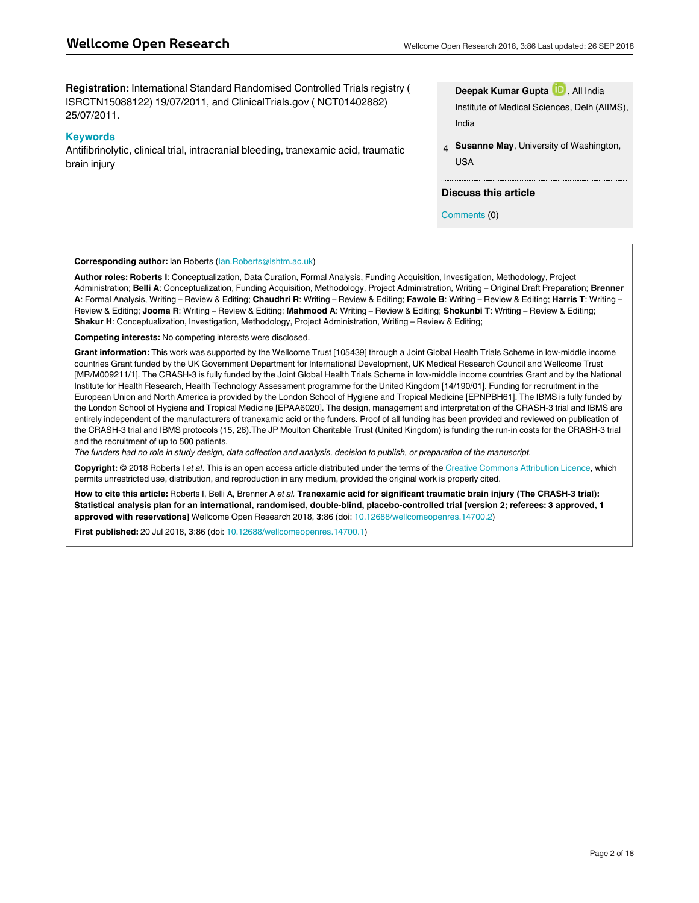**Registration:** International Standard Randomised Controlled Trials registry ( ISRCTN15088122) 19/07/2011, and ClinicalTrials.gov ( NCT01402882) 25/07/2011.

#### **Keywords**

Antifibrinolytic, clinical trial, intracranial bleeding, tranexamic acid, traumatic brain injury

**Deepak Kumar Gupta** , All India Institute of Medical Sciences, Delh (AIIMS), India

**Susanne May**, University of Washington, USA 4

#### **Discuss this article**

Comments (0)

#### **Corresponding author:** Ian Roberts (Ian.Roberts@lshtm.ac.uk)

**Author roles: Roberts I**: Conceptualization, Data Curation, Formal Analysis, Funding Acquisition, Investigation, Methodology, Project Administration; **Belli A**: Conceptualization, Funding Acquisition, Methodology, Project Administration, Writing – Original Draft Preparation; **Brenner A**: Formal Analysis, Writing – Review & Editing; **Chaudhri R**: Writing – Review & Editing; **Fawole B**: Writing – Review & Editing; **Harris T**: Writing – Review & Editing; **Jooma R**: Writing – Review & Editing; **Mahmood A**: Writing – Review & Editing; **Shokunbi T**: Writing – Review & Editing; **Shakur H**: Conceptualization, Investigation, Methodology, Project Administration, Writing – Review & Editing;

**Competing interests:** No competing interests were disclosed.

**Grant information:** This work was supported by the Wellcome Trust [105439] through a Joint Global Health Trials Scheme in low-middle income countries Grant funded by the UK Government Department for International Development, UK Medical Research Council and Wellcome Trust [MR/M009211/1]. The CRASH-3 is fully funded by the Joint Global Health Trials Scheme in low-middle income countries Grant and by the National Institute for Health Research, Health Technology Assessment programme for the United Kingdom [14/190/01]. Funding for recruitment in the European Union and North America is provided by the London School of Hygiene and Tropical Medicine [EPNPBH61]. The IBMS is fully funded by the London School of Hygiene and Tropical Medicine [EPAA6020]. The design, management and interpretation of the CRASH-3 trial and IBMS are entirely independent of the manufacturers of tranexamic acid or the funders. Proof of all funding has been provided and reviewed on publication of the CRASH-3 trial and IBMS protocols (15, 26).The JP Moulton Charitable Trust (United Kingdom) is funding the run-in costs for the CRASH-3 trial and the recruitment of up to 500 patients.

*The funders had no role in study design, data collection and analysis, decision to publish, or preparation of the manuscript.*

**Copyright:** © 2018 Roberts I *et al*. This is an open access article distributed under the terms of the [Creative Commons Attribution Licence](http://creativecommons.org/licenses/by/4.0/), which permits unrestricted use, distribution, and reproduction in any medium, provided the original work is properly cited.

**How to cite this article:** Roberts I, Belli A, Brenner A *et al.* **Tranexamic acid for significant traumatic brain injury (The CRASH-3 trial): Statistical analysis plan for an international, randomised, double-blind, placebo-controlled trial [version 2; referees: 3 approved, 1 approved with reservations]** Wellcome Open Research 2018, **3**:86 (doi: [10.12688/wellcomeopenres.14700.2](http://dx.doi.org/10.12688/wellcomeopenres.14700.2))

**First published:** 20 Jul 2018, **3**:86 (doi: [10.12688/wellcomeopenres.14700.1](http://dx.doi.org/10.12688/wellcomeopenres.14700.1))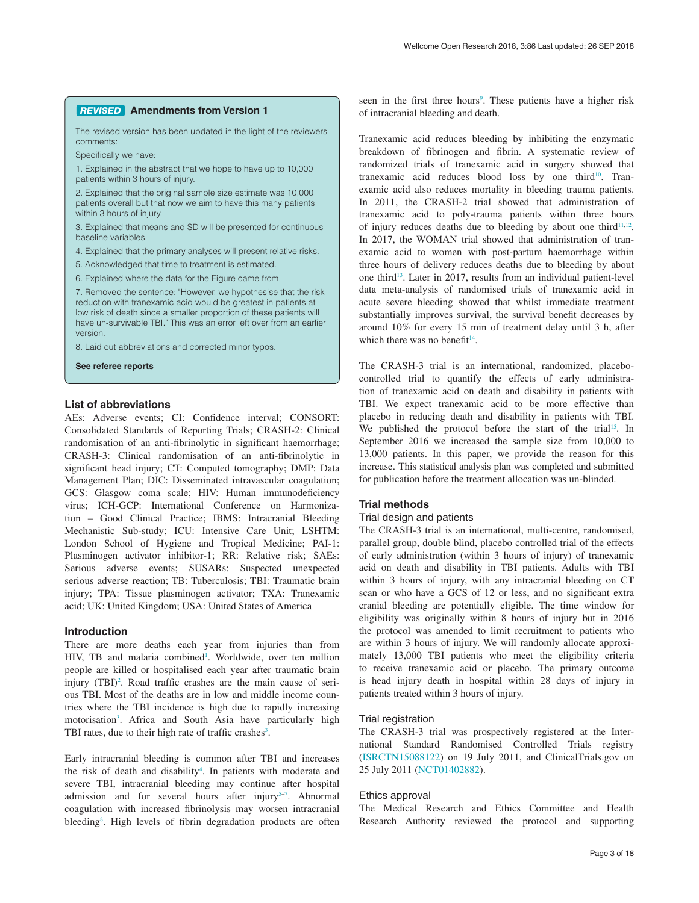#### **Amendments from Version 1** *REVISED*

The revised version has been updated in the light of the reviewers comments:

Specifically we have:

1. Explained in the abstract that we hope to have up to 10,000 patients within 3 hours of injury.

2. Explained that the original sample size estimate was 10,000 patients overall but that now we aim to have this many patients within 3 hours of injury.

3. Explained that means and SD will be presented for continuous baseline variables.

4. Explained that the primary analyses will present relative risks.

5. Acknowledged that time to treatment is estimated.

6. Explained where the data for the Figure came from.

7. Removed the sentence: "However, we hypothesise that the risk reduction with tranexamic acid would be greatest in patients at low risk of death since a smaller proportion of these patients will have un-survivable TBI." This was an error left over from an earlier version.

8. Laid out abbreviations and corrected minor typos.

**See referee reports**

#### **List of abbreviations**

AEs: Adverse events; CI: Confidence interval; CONSORT: Consolidated Standards of Reporting Trials; CRASH-2: Clinical randomisation of an anti-fibrinolytic in significant haemorrhage; CRASH-3: Clinical randomisation of an anti-fibrinolytic in significant head injury; CT: Computed tomography; DMP: Data Management Plan; DIC: Disseminated intravascular coagulation; GCS: Glasgow coma scale; HIV: Human immunodeficiency virus; ICH-GCP: International Conference on Harmonization – Good Clinical Practice; IBMS: Intracranial Bleeding Mechanistic Sub-study; ICU: Intensive Care Unit; LSHTM: London School of Hygiene and Tropical Medicine; PAI-1: Plasminogen activator inhibitor-1; RR: Relative risk; SAEs: Serious adverse events; SUSARs: Suspected unexpected serious adverse reaction; TB: Tuberculosis; TBI: Traumatic brain injury; TPA: Tissue plasminogen activator; TXA: Tranexamic acid; UK: United Kingdom; USA: United States of America

#### **Introduction**

There are more deaths each year from injuries than from HIV, TB and malaria combined<sup>1</sup>. Worldwide, over ten million people are killed or hospitalised each year after traumatic brain injury (TBI)<sup>2</sup>. Road traffic crashes are the main cause of serious TBI. Most of the deaths are in low and middle income countries where the TBI incidence is high due to rapidly increasing motorisation<sup>3</sup>. Africa and South Asia have particularly high TBI rates, due to their high rate of traffic crashes $3$ .

Early intracranial bleeding is common after TBI and increases the risk of death and disability<sup>[4](#page-11-0)</sup>. In patients with moderate and severe TBI, intracranial bleeding may continue after hospital admission and for several hours after injury<sup>5-7</sup>. Abnormal coagulation with increased fibrinolysis may worsen intracranial bleeding<sup>[8](#page-11-0)</sup>. High levels of fibrin degradation products are often

seen in the first three hours<sup>9</sup>. These patients have a higher risk of intracranial bleeding and death.

Tranexamic acid reduces bleeding by inhibiting the enzymatic breakdown of fibrinogen and fibrin. A systematic review of randomized trials of tranexamic acid in surgery showed that tranexamic acid reduces blood loss by one third<sup>10</sup>. Tranexamic acid also reduces mortality in bleeding trauma patients. In 2011, the CRASH-2 trial showed that administration of tranexamic acid to poly-trauma patients within three hours of injury reduces deaths due to bleeding by about one third<sup>[11,](#page-11-0)[12](#page-12-0)</sup>. In 2017, the WOMAN trial showed that administration of tranexamic acid to women with post-partum haemorrhage within three hours of delivery reduces deaths due to bleeding by about one third<sup>13</sup>. Later in 2017, results from an individual patient-level data meta-analysis of randomised trials of tranexamic acid in acute severe bleeding showed that whilst immediate treatment substantially improves survival, the survival benefit decreases by around 10% for every 15 min of treatment delay until 3 h, after which there was no benefit $14$ .

The CRASH-3 trial is an international, randomized, placebocontrolled trial to quantify the effects of early administration of tranexamic acid on death and disability in patients with TBI. We expect tranexamic acid to be more effective than placebo in reducing death and disability in patients with TBI. We published the protocol before the start of the trial<sup>15</sup>. In September 2016 we increased the sample size from 10,000 to 13,000 patients. In this paper, we provide the reason for this increase. This statistical analysis plan was completed and submitted for publication before the treatment allocation was un-blinded.

#### **Trial methods**

#### Trial design and patients

The CRASH-3 trial is an international, multi-centre, randomised, parallel group, double blind, placebo controlled trial of the effects of early administration (within 3 hours of injury) of tranexamic acid on death and disability in TBI patients. Adults with TBI within 3 hours of injury, with any intracranial bleeding on CT scan or who have a GCS of 12 or less, and no significant extra cranial bleeding are potentially eligible. The time window for eligibility was originally within 8 hours of injury but in 2016 the protocol was amended to limit recruitment to patients who are within 3 hours of injury. We will randomly allocate approximately 13,000 TBI patients who meet the eligibility criteria to receive tranexamic acid or placebo. The primary outcome is head injury death in hospital within 28 days of injury in patients treated within 3 hours of injury.

#### Trial registration

The CRASH-3 trial was prospectively registered at the International Standard Randomised Controlled Trials registry ([ISRCTN15088122\)](http://www.isrctn.com/ISRCTN15088122) on 19 July 2011, and ClinicalTrials.gov on 25 July 2011 [\(NCT01402882](https://clinicaltrials.gov/ct2/show/NCT01402882)).

#### Ethics approval

The Medical Research and Ethics Committee and Health Research Authority reviewed the protocol and supporting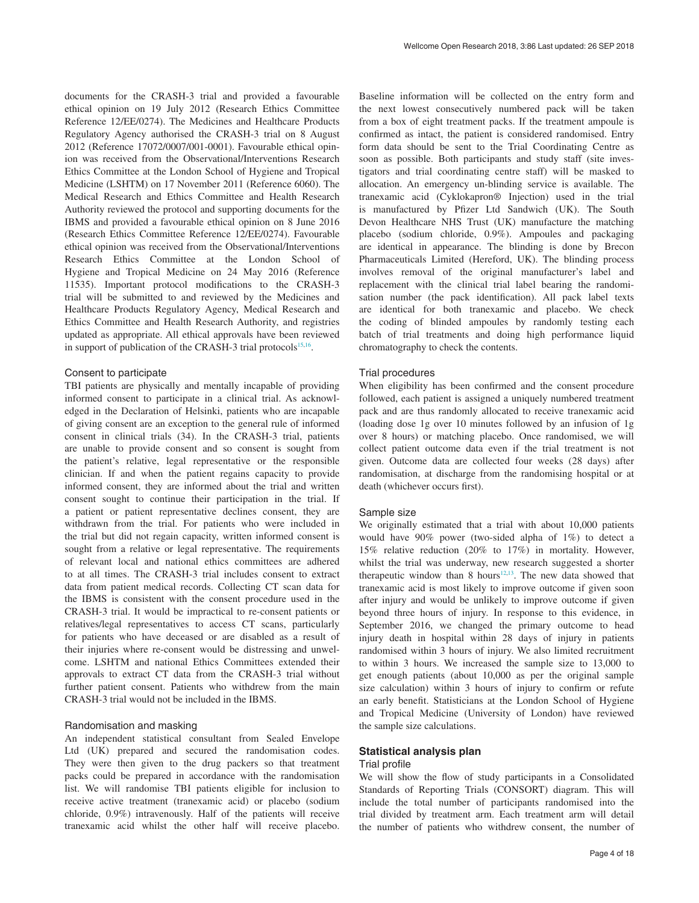documents for the CRASH-3 trial and provided a favourable ethical opinion on 19 July 2012 (Research Ethics Committee Reference 12/EE/0274). The Medicines and Healthcare Products Regulatory Agency authorised the CRASH-3 trial on 8 August 2012 (Reference 17072/0007/001-0001). Favourable ethical opinion was received from the Observational/Interventions Research Ethics Committee at the London School of Hygiene and Tropical Medicine (LSHTM) on 17 November 2011 (Reference 6060). The Medical Research and Ethics Committee and Health Research Authority reviewed the protocol and supporting documents for the IBMS and provided a favourable ethical opinion on 8 June 2016 (Research Ethics Committee Reference 12/EE/0274). Favourable ethical opinion was received from the Observational/Interventions Research Ethics Committee at the London School of Hygiene and Tropical Medicine on 24 May 2016 (Reference 11535). Important protocol modifications to the CRASH-3 trial will be submitted to and reviewed by the Medicines and Healthcare Products Regulatory Agency, Medical Research and Ethics Committee and Health Research Authority, and registries updated as appropriate. All ethical approvals have been reviewed in support of publication of the CRASH-3 trial protocols $15,16$ .

#### Consent to participate

TBI patients are physically and mentally incapable of providing informed consent to participate in a clinical trial. As acknowledged in the Declaration of Helsinki, patients who are incapable of giving consent are an exception to the general rule of informed consent in clinical trials (34). In the CRASH-3 trial, patients are unable to provide consent and so consent is sought from the patient's relative, legal representative or the responsible clinician. If and when the patient regains capacity to provide informed consent, they are informed about the trial and written consent sought to continue their participation in the trial. If a patient or patient representative declines consent, they are withdrawn from the trial. For patients who were included in the trial but did not regain capacity, written informed consent is sought from a relative or legal representative. The requirements of relevant local and national ethics committees are adhered to at all times. The CRASH-3 trial includes consent to extract data from patient medical records. Collecting CT scan data for the IBMS is consistent with the consent procedure used in the CRASH-3 trial. It would be impractical to re-consent patients or relatives/legal representatives to access CT scans, particularly for patients who have deceased or are disabled as a result of their injuries where re-consent would be distressing and unwelcome. LSHTM and national Ethics Committees extended their approvals to extract CT data from the CRASH-3 trial without further patient consent. Patients who withdrew from the main CRASH-3 trial would not be included in the IBMS.

#### Randomisation and masking

An independent statistical consultant from Sealed Envelope Ltd (UK) prepared and secured the randomisation codes. They were then given to the drug packers so that treatment packs could be prepared in accordance with the randomisation list. We will randomise TBI patients eligible for inclusion to receive active treatment (tranexamic acid) or placebo (sodium chloride, 0.9%) intravenously. Half of the patients will receive tranexamic acid whilst the other half will receive placebo.

Baseline information will be collected on the entry form and the next lowest consecutively numbered pack will be taken from a box of eight treatment packs. If the treatment ampoule is confirmed as intact, the patient is considered randomised. Entry form data should be sent to the Trial Coordinating Centre as soon as possible. Both participants and study staff (site investigators and trial coordinating centre staff) will be masked to allocation. An emergency un-blinding service is available. The tranexamic acid (Cyklokapron® Injection) used in the trial is manufactured by Pfizer Ltd Sandwich (UK). The South Devon Healthcare NHS Trust (UK) manufacture the matching placebo (sodium chloride, 0.9%). Ampoules and packaging are identical in appearance. The blinding is done by Brecon Pharmaceuticals Limited (Hereford, UK). The blinding process involves removal of the original manufacturer's label and replacement with the clinical trial label bearing the randomisation number (the pack identification). All pack label texts are identical for both tranexamic and placebo. We check the coding of blinded ampoules by randomly testing each batch of trial treatments and doing high performance liquid chromatography to check the contents.

#### Trial procedures

When eligibility has been confirmed and the consent procedure followed, each patient is assigned a uniquely numbered treatment pack and are thus randomly allocated to receive tranexamic acid (loading dose 1g over 10 minutes followed by an infusion of 1g over 8 hours) or matching placebo. Once randomised, we will collect patient outcome data even if the trial treatment is not given. Outcome data are collected four weeks (28 days) after randomisation, at discharge from the randomising hospital or at death (whichever occurs first).

#### Sample size

We originally estimated that a trial with about 10,000 patients would have 90% power (two-sided alpha of 1%) to detect a 15% relative reduction (20% to 17%) in mortality. However, whilst the trial was underway, new research suggested a shorter therapeutic window than 8 hours<sup>12,13</sup>. The new data showed that tranexamic acid is most likely to improve outcome if given soon after injury and would be unlikely to improve outcome if given beyond three hours of injury. In response to this evidence, in September 2016, we changed the primary outcome to head injury death in hospital within 28 days of injury in patients randomised within 3 hours of injury. We also limited recruitment to within 3 hours. We increased the sample size to 13,000 to get enough patients (about 10,000 as per the original sample size calculation) within 3 hours of injury to confirm or refute an early benefit. Statisticians at the London School of Hygiene and Tropical Medicine (University of London) have reviewed the sample size calculations.

#### **Statistical analysis plan**

#### Trial profile

We will show the flow of study participants in a Consolidated Standards of Reporting Trials (CONSORT) diagram. This will include the total number of participants randomised into the trial divided by treatment arm. Each treatment arm will detail the number of patients who withdrew consent, the number of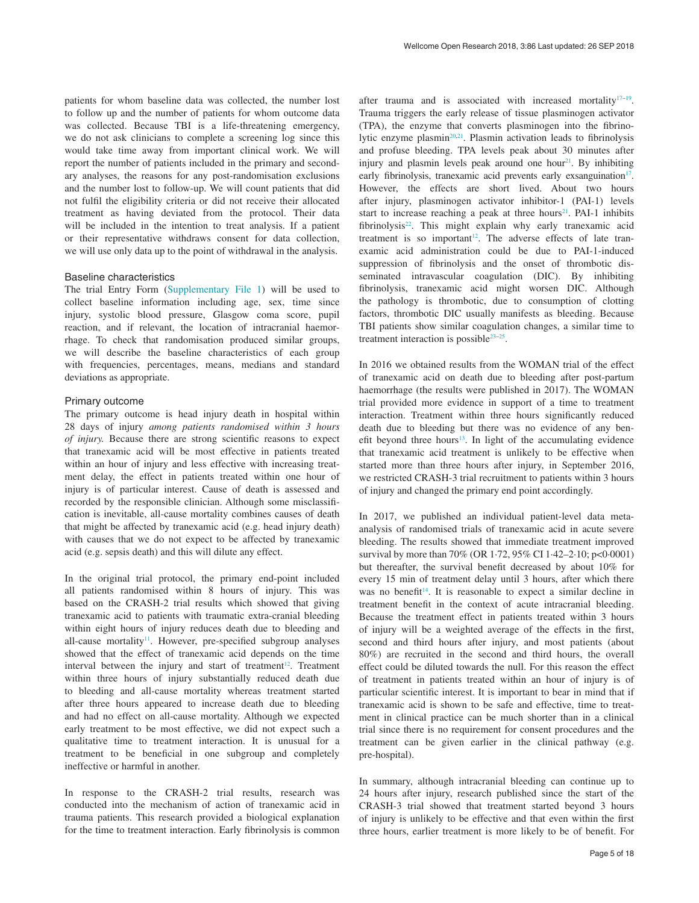patients for whom baseline data was collected, the number lost to follow up and the number of patients for whom outcome data was collected. Because TBI is a life-threatening emergency, we do not ask clinicians to complete a screening log since this would take time away from important clinical work. We will report the number of patients included in the primary and secondary analyses, the reasons for any post-randomisation exclusions and the number lost to follow-up. We will count patients that did not fulfil the eligibility criteria or did not receive their allocated treatment as having deviated from the protocol. Their data will be included in the intention to treat analysis. If a patient or their representative withdraws consent for data collection, we will use only data up to the point of withdrawal in the analysis.

#### Baseline characteristics

The trial Entry Form ([Supplementary File 1](#page-11-0)) will be used to collect baseline information including age, sex, time since injury, systolic blood pressure, Glasgow coma score, pupil reaction, and if relevant, the location of intracranial haemorrhage. To check that randomisation produced similar groups, we will describe the baseline characteristics of each group with frequencies, percentages, means, medians and standard deviations as appropriate.

#### Primary outcome

The primary outcome is head injury death in hospital within 28 days of injury *among patients randomised within 3 hours of injury.* Because there are strong scientific reasons to expect that tranexamic acid will be most effective in patients treated within an hour of injury and less effective with increasing treatment delay, the effect in patients treated within one hour of injury is of particular interest. Cause of death is assessed and recorded by the responsible clinician. Although some misclassification is inevitable, all-cause mortality combines causes of death that might be affected by tranexamic acid (e.g. head injury death) with causes that we do not expect to be affected by tranexamic acid (e.g. sepsis death) and this will dilute any effect.

In the original trial protocol, the primary end-point included all patients randomised within 8 hours of injury. This was based on the CRASH-2 trial results which showed that giving tranexamic acid to patients with traumatic extra-cranial bleeding within eight hours of injury reduces death due to bleeding and all-cause mortality $11$ . However, pre-specified subgroup analyses showed that the effect of tranexamic acid depends on the time interval between the injury and start of treatment<sup>[12](#page-12-0)</sup>. Treatment within three hours of injury substantially reduced death due to bleeding and all-cause mortality whereas treatment started after three hours appeared to increase death due to bleeding and had no effect on all-cause mortality. Although we expected early treatment to be most effective, we did not expect such a qualitative time to treatment interaction. It is unusual for a treatment to be beneficial in one subgroup and completely ineffective or harmful in another.

In response to the CRASH-2 trial results, research was conducted into the mechanism of action of tranexamic acid in trauma patients. This research provided a biological explanation for the time to treatment interaction. Early fibrinolysis is common after trauma and is associated with increased mortality $17-19$ . Trauma triggers the early release of tissue plasminogen activator (TPA), the enzyme that converts plasminogen into the fibrinolytic enzyme plasmin<sup>20,21</sup>. Plasmin activation leads to fibrinolysis and profuse bleeding. TPA levels peak about 30 minutes after injury and plasmin levels peak around one hour<sup>21</sup>. By inhibiting early fibrinolysis, tranexamic acid prevents early exsanguination<sup>17</sup>. However, the effects are short lived. About two hours after injury, plasminogen activator inhibitor-1 (PAI-1) levels start to increase reaching a peak at three hours<sup>21</sup>. PAI-1 inhibits fibrinolysis $22$ . This might explain why early tranexamic acid treatment is so important<sup>12</sup>. The adverse effects of late tranexamic acid administration could be due to PAI-1-induced suppression of fibrinolysis and the onset of thrombotic disseminated intravascular coagulation (DIC). By inhibiting fibrinolysis, tranexamic acid might worsen DIC. Although the pathology is thrombotic, due to consumption of clotting factors, thrombotic DIC usually manifests as bleeding. Because TBI patients show similar coagulation changes, a similar time to treatment interaction is possible<sup>23-25</sup>.

In 2016 we obtained results from the WOMAN trial of the effect of tranexamic acid on death due to bleeding after post-partum haemorrhage (the results were published in 2017). The WOMAN trial provided more evidence in support of a time to treatment interaction. Treatment within three hours significantly reduced death due to bleeding but there was no evidence of any benefit beyond three hours<sup>13</sup>. In light of the accumulating evidence that tranexamic acid treatment is unlikely to be effective when started more than three hours after injury, in September 2016, we restricted CRASH-3 trial recruitment to patients within 3 hours of injury and changed the primary end point accordingly.

In 2017, we published an individual patient-level data metaanalysis of randomised trials of tranexamic acid in acute severe bleeding. The results showed that immediate treatment improved survival by more than 70% (OR 1.72, 95% CI 1.42–2.10; p<0.0001) but thereafter, the survival benefit decreased by about 10% for every 15 min of treatment delay until 3 hours, after which there was no benefit<sup>[14](#page-12-0)</sup>. It is reasonable to expect a similar decline in treatment benefit in the context of acute intracranial bleeding. Because the treatment effect in patients treated within 3 hours of injury will be a weighted average of the effects in the first, second and third hours after injury, and most patients (about 80%) are recruited in the second and third hours, the overall effect could be diluted towards the null. For this reason the effect of treatment in patients treated within an hour of injury is of particular scientific interest. It is important to bear in mind that if tranexamic acid is shown to be safe and effective, time to treatment in clinical practice can be much shorter than in a clinical trial since there is no requirement for consent procedures and the treatment can be given earlier in the clinical pathway (e.g. pre-hospital).

In summary, although intracranial bleeding can continue up to 24 hours after injury, research published since the start of the CRASH-3 trial showed that treatment started beyond 3 hours of injury is unlikely to be effective and that even within the first three hours, earlier treatment is more likely to be of benefit. For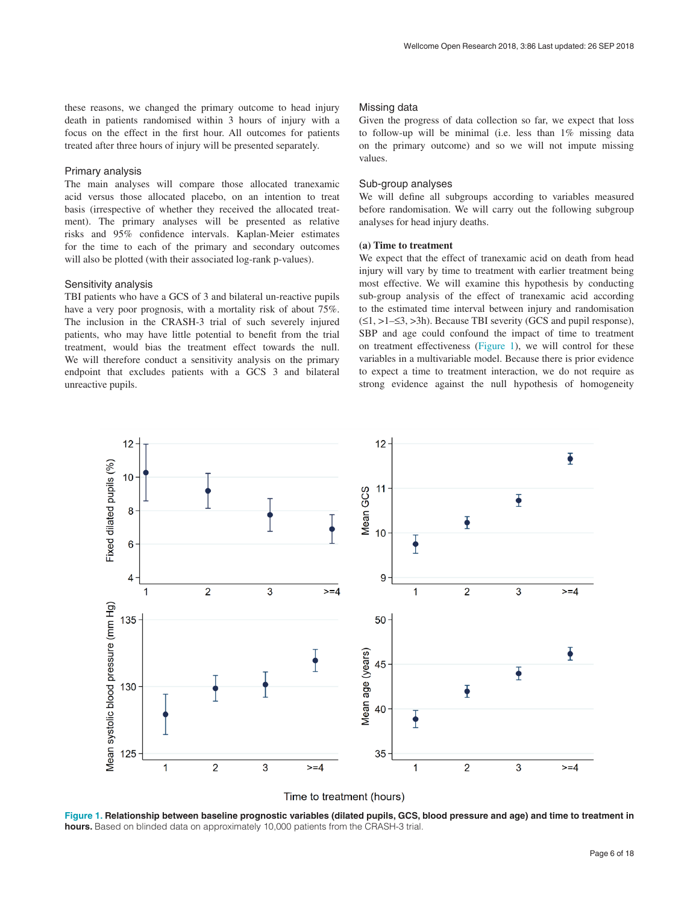these reasons, we changed the primary outcome to head injury death in patients randomised within 3 hours of injury with a focus on the effect in the first hour. All outcomes for patients treated after three hours of injury will be presented separately.

#### Primary analysis

The main analyses will compare those allocated tranexamic acid versus those allocated placebo, on an intention to treat basis (irrespective of whether they received the allocated treatment). The primary analyses will be presented as relative risks and 95% confidence intervals. Kaplan-Meier estimates for the time to each of the primary and secondary outcomes will also be plotted (with their associated log-rank p-values).

#### Sensitivity analysis

TBI patients who have a GCS of 3 and bilateral un-reactive pupils have a very poor prognosis, with a mortality risk of about 75%. The inclusion in the CRASH-3 trial of such severely injured patients, who may have little potential to benefit from the trial treatment, would bias the treatment effect towards the null. We will therefore conduct a sensitivity analysis on the primary endpoint that excludes patients with a GCS 3 and bilateral unreactive pupils.

#### Missing data

Given the progress of data collection so far, we expect that loss to follow-up will be minimal (i.e. less than 1% missing data on the primary outcome) and so we will not impute missing values.

#### Sub-group analyses

We will define all subgroups according to variables measured before randomisation. We will carry out the following subgroup analyses for head injury deaths.

#### **(a) Time to treatment**

We expect that the effect of tranexamic acid on death from head injury will vary by time to treatment with earlier treatment being most effective. We will examine this hypothesis by conducting sub-group analysis of the effect of tranexamic acid according to the estimated time interval between injury and randomisation (≤1, >1–≤3, >3h). Because TBI severity (GCS and pupil response), SBP and age could confound the impact of time to treatment on treatment effectiveness (Figure 1), we will control for these variables in a multivariable model. Because there is prior evidence to expect a time to treatment interaction, we do not require as strong evidence against the null hypothesis of homogeneity



Time to treatment (hours)

Figure 1. Relationship between baseline prognostic variables (dilated pupils, GCS, blood pressure and age) and time to treatment in **hours.** Based on blinded data on approximately 10,000 patients from the CRASH-3 trial.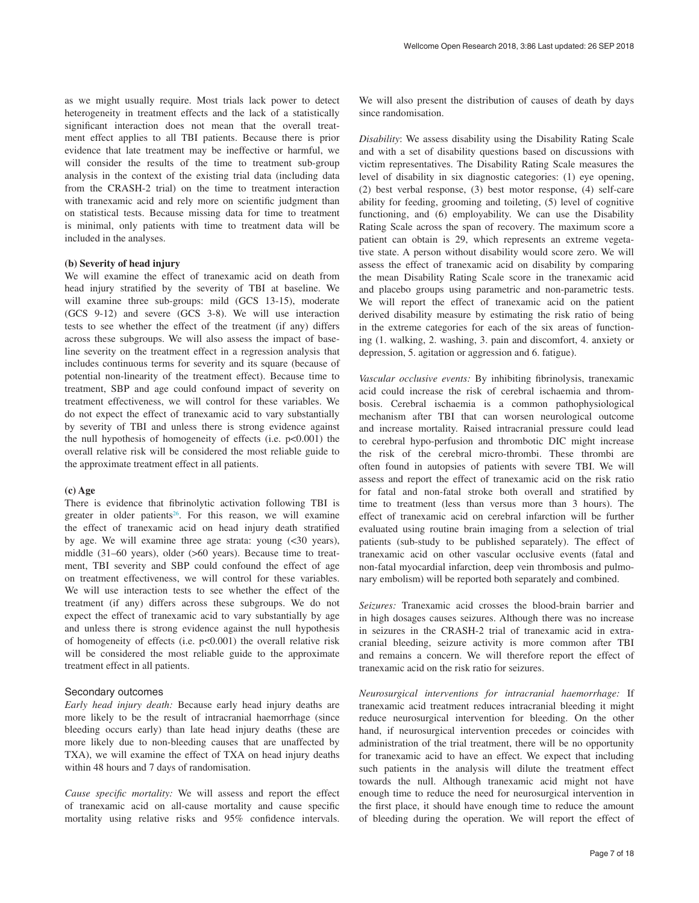as we might usually require. Most trials lack power to detect heterogeneity in treatment effects and the lack of a statistically significant interaction does not mean that the overall treatment effect applies to all TBI patients. Because there is prior evidence that late treatment may be ineffective or harmful, we will consider the results of the time to treatment sub-group analysis in the context of the existing trial data (including data from the CRASH-2 trial) on the time to treatment interaction with tranexamic acid and rely more on scientific judgment than on statistical tests. Because missing data for time to treatment is minimal, only patients with time to treatment data will be included in the analyses.

#### **(b) Severity of head injury**

We will examine the effect of tranexamic acid on death from head injury stratified by the severity of TBI at baseline. We will examine three sub-groups: mild (GCS 13-15), moderate (GCS 9-12) and severe (GCS 3-8). We will use interaction tests to see whether the effect of the treatment (if any) differs across these subgroups. We will also assess the impact of baseline severity on the treatment effect in a regression analysis that includes continuous terms for severity and its square (because of potential non-linearity of the treatment effect). Because time to treatment, SBP and age could confound impact of severity on treatment effectiveness, we will control for these variables. We do not expect the effect of tranexamic acid to vary substantially by severity of TBI and unless there is strong evidence against the null hypothesis of homogeneity of effects (i.e.  $p<0.001$ ) the overall relative risk will be considered the most reliable guide to the approximate treatment effect in all patients.

#### **(c) Age**

There is evidence that fibrinolytic activation following TBI is greater in older patients<sup>26</sup>. For this reason, we will examine the effect of tranexamic acid on head injury death stratified by age. We will examine three age strata: young (<30 years), middle (31–60 years), older (>60 years). Because time to treatment, TBI severity and SBP could confound the effect of age on treatment effectiveness, we will control for these variables. We will use interaction tests to see whether the effect of the treatment (if any) differs across these subgroups. We do not expect the effect of tranexamic acid to vary substantially by age and unless there is strong evidence against the null hypothesis of homogeneity of effects (i.e. p<0.001) the overall relative risk will be considered the most reliable guide to the approximate treatment effect in all patients.

#### Secondary outcomes

*Early head injury death:* Because early head injury deaths are more likely to be the result of intracranial haemorrhage (since bleeding occurs early) than late head injury deaths (these are more likely due to non-bleeding causes that are unaffected by TXA), we will examine the effect of TXA on head injury deaths within 48 hours and 7 days of randomisation.

*Cause specific mortality:* We will assess and report the effect of tranexamic acid on all-cause mortality and cause specific mortality using relative risks and 95% confidence intervals.

We will also present the distribution of causes of death by days since randomisation.

*Disability*: We assess disability using the Disability Rating Scale and with a set of disability questions based on discussions with victim representatives. The Disability Rating Scale measures the level of disability in six diagnostic categories: (1) eye opening, (2) best verbal response, (3) best motor response, (4) self-care ability for feeding, grooming and toileting, (5) level of cognitive functioning, and (6) employability. We can use the Disability Rating Scale across the span of recovery. The maximum score a patient can obtain is 29, which represents an extreme vegetative state. A person without disability would score zero. We will assess the effect of tranexamic acid on disability by comparing the mean Disability Rating Scale score in the tranexamic acid and placebo groups using parametric and non-parametric tests. We will report the effect of tranexamic acid on the patient derived disability measure by estimating the risk ratio of being in the extreme categories for each of the six areas of functioning (1. walking, 2. washing, 3. pain and discomfort, 4. anxiety or depression, 5. agitation or aggression and 6. fatigue).

*Vascular occlusive events:* By inhibiting fibrinolysis, tranexamic acid could increase the risk of cerebral ischaemia and thrombosis. Cerebral ischaemia is a common pathophysiological mechanism after TBI that can worsen neurological outcome and increase mortality. Raised intracranial pressure could lead to cerebral hypo-perfusion and thrombotic DIC might increase the risk of the cerebral micro-thrombi. These thrombi are often found in autopsies of patients with severe TBI. We will assess and report the effect of tranexamic acid on the risk ratio for fatal and non-fatal stroke both overall and stratified by time to treatment (less than versus more than 3 hours). The effect of tranexamic acid on cerebral infarction will be further evaluated using routine brain imaging from a selection of trial patients (sub-study to be published separately). The effect of tranexamic acid on other vascular occlusive events (fatal and non-fatal myocardial infarction, deep vein thrombosis and pulmonary embolism) will be reported both separately and combined.

*Seizures:* Tranexamic acid crosses the blood-brain barrier and in high dosages causes seizures. Although there was no increase in seizures in the CRASH-2 trial of tranexamic acid in extracranial bleeding, seizure activity is more common after TBI and remains a concern. We will therefore report the effect of tranexamic acid on the risk ratio for seizures.

*Neurosurgical interventions for intracranial haemorrhage:* If tranexamic acid treatment reduces intracranial bleeding it might reduce neurosurgical intervention for bleeding. On the other hand, if neurosurgical intervention precedes or coincides with administration of the trial treatment, there will be no opportunity for tranexamic acid to have an effect. We expect that including such patients in the analysis will dilute the treatment effect towards the null. Although tranexamic acid might not have enough time to reduce the need for neurosurgical intervention in the first place, it should have enough time to reduce the amount of bleeding during the operation. We will report the effect of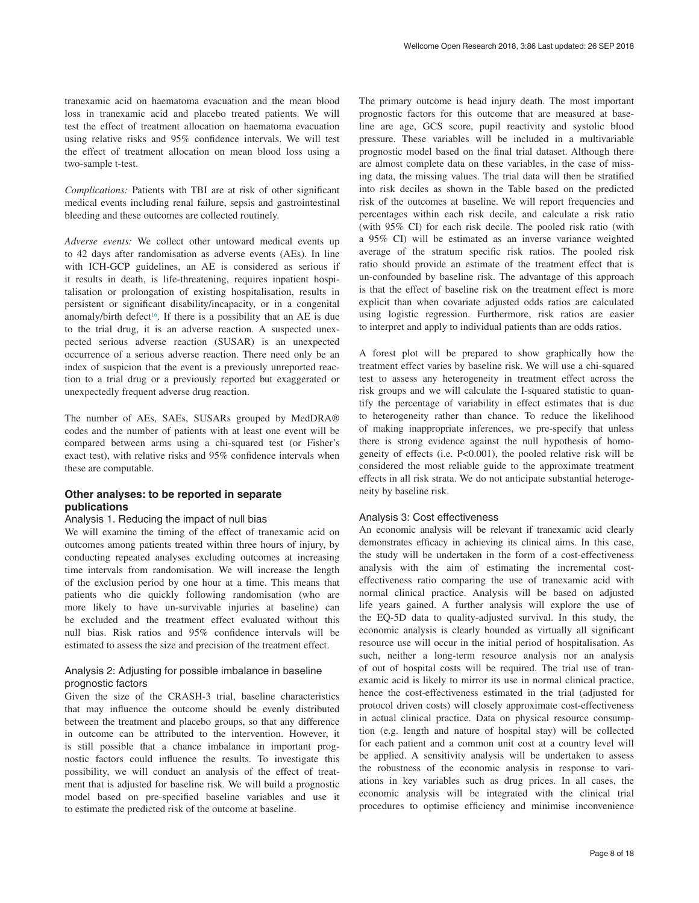tranexamic acid on haematoma evacuation and the mean blood loss in tranexamic acid and placebo treated patients. We will test the effect of treatment allocation on haematoma evacuation using relative risks and 95% confidence intervals. We will test the effect of treatment allocation on mean blood loss using a two-sample t-test.

*Complications:* Patients with TBI are at risk of other significant medical events including renal failure, sepsis and gastrointestinal bleeding and these outcomes are collected routinely.

*Adverse events:* We collect other untoward medical events up to 42 days after randomisation as adverse events (AEs). In line with ICH-GCP guidelines, an AE is considered as serious if it results in death, is life-threatening, requires inpatient hospitalisation or prolongation of existing hospitalisation, results in persistent or significant disability/incapacity, or in a congenital anomaly/birth defect<sup>16</sup>. If there is a possibility that an AE is due to the trial drug, it is an adverse reaction. A suspected unexpected serious adverse reaction (SUSAR) is an unexpected occurrence of a serious adverse reaction. There need only be an index of suspicion that the event is a previously unreported reaction to a trial drug or a previously reported but exaggerated or unexpectedly frequent adverse drug reaction.

The number of AEs, SAEs, SUSARs grouped by MedDRA® codes and the number of patients with at least one event will be compared between arms using a chi-squared test (or Fisher's exact test), with relative risks and 95% confidence intervals when these are computable.

#### **Other analyses: to be reported in separate publications**

#### Analysis 1. Reducing the impact of null bias

We will examine the timing of the effect of tranexamic acid on outcomes among patients treated within three hours of injury, by conducting repeated analyses excluding outcomes at increasing time intervals from randomisation. We will increase the length of the exclusion period by one hour at a time. This means that patients who die quickly following randomisation (who are more likely to have un-survivable injuries at baseline) can be excluded and the treatment effect evaluated without this null bias. Risk ratios and 95% confidence intervals will be estimated to assess the size and precision of the treatment effect.

#### Analysis 2: Adjusting for possible imbalance in baseline prognostic factors

Given the size of the CRASH-3 trial, baseline characteristics that may influence the outcome should be evenly distributed between the treatment and placebo groups, so that any difference in outcome can be attributed to the intervention. However, it is still possible that a chance imbalance in important prognostic factors could influence the results. To investigate this possibility, we will conduct an analysis of the effect of treatment that is adjusted for baseline risk. We will build a prognostic model based on pre-specified baseline variables and use it to estimate the predicted risk of the outcome at baseline.

The primary outcome is head injury death. The most important prognostic factors for this outcome that are measured at baseline are age, GCS score, pupil reactivity and systolic blood pressure. These variables will be included in a multivariable prognostic model based on the final trial dataset. Although there are almost complete data on these variables, in the case of missing data, the missing values. The trial data will then be stratified into risk deciles as shown in the Table based on the predicted risk of the outcomes at baseline. We will report frequencies and percentages within each risk decile, and calculate a risk ratio (with 95% CI) for each risk decile. The pooled risk ratio (with a 95% CI) will be estimated as an inverse variance weighted average of the stratum specific risk ratios. The pooled risk ratio should provide an estimate of the treatment effect that is un-confounded by baseline risk. The advantage of this approach is that the effect of baseline risk on the treatment effect is more explicit than when covariate adjusted odds ratios are calculated using logistic regression. Furthermore, risk ratios are easier to interpret and apply to individual patients than are odds ratios.

A forest plot will be prepared to show graphically how the treatment effect varies by baseline risk. We will use a chi-squared test to assess any heterogeneity in treatment effect across the risk groups and we will calculate the I-squared statistic to quantify the percentage of variability in effect estimates that is due to heterogeneity rather than chance. To reduce the likelihood of making inappropriate inferences, we pre-specify that unless there is strong evidence against the null hypothesis of homogeneity of effects (i.e. P<0.001), the pooled relative risk will be considered the most reliable guide to the approximate treatment effects in all risk strata. We do not anticipate substantial heterogeneity by baseline risk.

#### Analysis 3: Cost effectiveness

An economic analysis will be relevant if tranexamic acid clearly demonstrates efficacy in achieving its clinical aims. In this case, the study will be undertaken in the form of a cost-effectiveness analysis with the aim of estimating the incremental costeffectiveness ratio comparing the use of tranexamic acid with normal clinical practice. Analysis will be based on adjusted life years gained. A further analysis will explore the use of the EQ-5D data to quality-adjusted survival. In this study, the economic analysis is clearly bounded as virtually all significant resource use will occur in the initial period of hospitalisation. As such, neither a long-term resource analysis nor an analysis of out of hospital costs will be required. The trial use of tranexamic acid is likely to mirror its use in normal clinical practice, hence the cost-effectiveness estimated in the trial (adjusted for protocol driven costs) will closely approximate cost-effectiveness in actual clinical practice. Data on physical resource consumption (e.g. length and nature of hospital stay) will be collected for each patient and a common unit cost at a country level will be applied. A sensitivity analysis will be undertaken to assess the robustness of the economic analysis in response to variations in key variables such as drug prices. In all cases, the economic analysis will be integrated with the clinical trial procedures to optimise efficiency and minimise inconvenience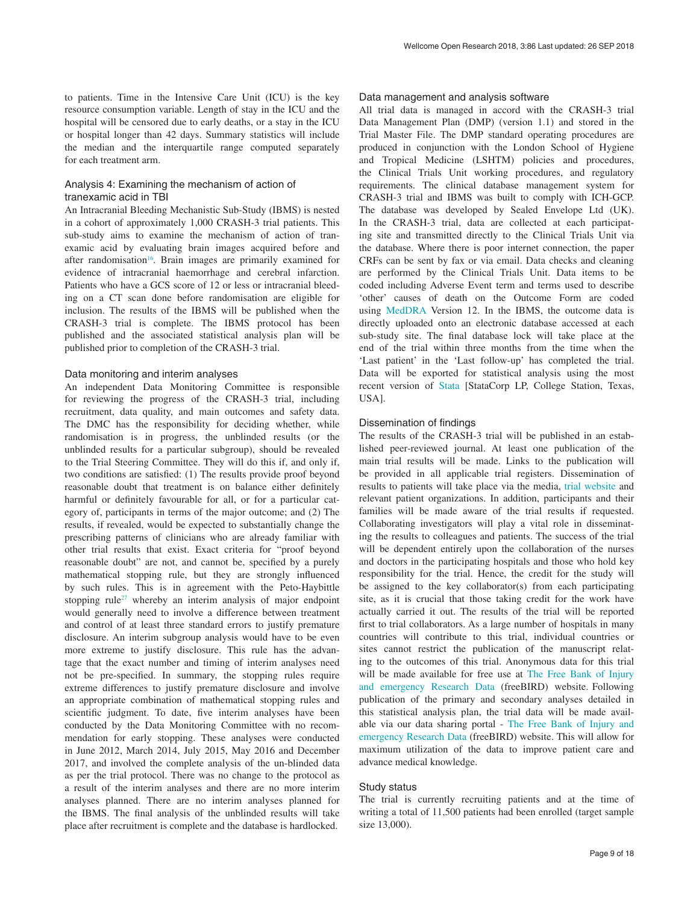to patients. Time in the Intensive Care Unit (ICU) is the key resource consumption variable. Length of stay in the ICU and the hospital will be censored due to early deaths, or a stay in the ICU or hospital longer than 42 days. Summary statistics will include the median and the interquartile range computed separately for each treatment arm.

#### Analysis 4: Examining the mechanism of action of tranexamic acid in TBI

An Intracranial Bleeding Mechanistic Sub-Study (IBMS) is nested in a cohort of approximately 1,000 CRASH-3 trial patients. This sub-study aims to examine the mechanism of action of tranexamic acid by evaluating brain images acquired before and after randomisation<sup>[16](#page-12-0)</sup>. Brain images are primarily examined for evidence of intracranial haemorrhage and cerebral infarction. Patients who have a GCS score of 12 or less or intracranial bleeding on a CT scan done before randomisation are eligible for inclusion. The results of the IBMS will be published when the CRASH-3 trial is complete. The IBMS protocol has been published and the associated statistical analysis plan will be published prior to completion of the CRASH-3 trial.

#### Data monitoring and interim analyses

An independent Data Monitoring Committee is responsible for reviewing the progress of the CRASH-3 trial, including recruitment, data quality, and main outcomes and safety data. The DMC has the responsibility for deciding whether, while randomisation is in progress, the unblinded results (or the unblinded results for a particular subgroup), should be revealed to the Trial Steering Committee. They will do this if, and only if, two conditions are satisfied: (1) The results provide proof beyond reasonable doubt that treatment is on balance either definitely harmful or definitely favourable for all, or for a particular category of, participants in terms of the major outcome; and (2) The results, if revealed, would be expected to substantially change the prescribing patterns of clinicians who are already familiar with other trial results that exist. Exact criteria for "proof beyond reasonable doubt" are not, and cannot be, specified by a purely mathematical stopping rule, but they are strongly influenced by such rules. This is in agreement with the Peto-Haybittle stopping rule<sup>27</sup> whereby an interim analysis of major endpoint would generally need to involve a difference between treatment and control of at least three standard errors to justify premature disclosure. An interim subgroup analysis would have to be even more extreme to justify disclosure. This rule has the advantage that the exact number and timing of interim analyses need not be pre-specified. In summary, the stopping rules require extreme differences to justify premature disclosure and involve an appropriate combination of mathematical stopping rules and scientific judgment. To date, five interim analyses have been conducted by the Data Monitoring Committee with no recommendation for early stopping. These analyses were conducted in June 2012, March 2014, July 2015, May 2016 and December 2017, and involved the complete analysis of the un-blinded data as per the trial protocol. There was no change to the protocol as a result of the interim analyses and there are no more interim analyses planned. There are no interim analyses planned for the IBMS. The final analysis of the unblinded results will take place after recruitment is complete and the database is hardlocked.

#### Data management and analysis software

All trial data is managed in accord with the CRASH-3 trial Data Management Plan (DMP) (version 1.1) and stored in the Trial Master File. The DMP standard operating procedures are produced in conjunction with the London School of Hygiene and Tropical Medicine (LSHTM) policies and procedures, the Clinical Trials Unit working procedures, and regulatory requirements. The clinical database management system for CRASH-3 trial and IBMS was built to comply with ICH-GCP. The database was developed by Sealed Envelope Ltd (UK). In the CRASH-3 trial, data are collected at each participating site and transmitted directly to the Clinical Trials Unit via the database. Where there is poor internet connection, the paper CRFs can be sent by fax or via email. Data checks and cleaning are performed by the Clinical Trials Unit. Data items to be coded including Adverse Event term and terms used to describe 'other' causes of death on the Outcome Form are coded using [MedDRA](https://www.meddra.org/) Version 12. In the IBMS, the outcome data is directly uploaded onto an electronic database accessed at each sub-study site. The final database lock will take place at the end of the trial within three months from the time when the 'Last patient' in the 'Last follow-up' has completed the trial. Data will be exported for statistical analysis using the most recent version of [Stata](https://www.stata.com/) [StataCorp LP, College Station, Texas, USA].

#### Dissemination of findings

The results of the CRASH-3 trial will be published in an established peer-reviewed journal. At least one publication of the main trial results will be made. Links to the publication will be provided in all applicable trial registers. Dissemination of results to patients will take place via the media, [trial website](http://crash3.lshtm.ac.uk/) and relevant patient organizations. In addition, participants and their families will be made aware of the trial results if requested. Collaborating investigators will play a vital role in disseminating the results to colleagues and patients. The success of the trial will be dependent entirely upon the collaboration of the nurses and doctors in the participating hospitals and those who hold key responsibility for the trial. Hence, the credit for the study will be assigned to the key collaborator(s) from each participating site, as it is crucial that those taking credit for the work have actually carried it out. The results of the trial will be reported first to trial collaborators. As a large number of hospitals in many countries will contribute to this trial, individual countries or sites cannot restrict the publication of the manuscript relating to the outcomes of this trial. Anonymous data for this trial will be made available for free use at The Free Bank of Injury [and emergency Research Data](http://freebird.lshtm.ac.uk/) (freeBIRD) website. Following publication of the primary and secondary analyses detailed in this statistical analysis plan, the trial data will be made available via our data sharing portal - [The Free Bank of Injury and](http://freebird.lshtm.ac.uk/)  [emergency Research Data](http://freebird.lshtm.ac.uk/) (freeBIRD) website. This will allow for maximum utilization of the data to improve patient care and advance medical knowledge.

#### Study status

The trial is currently recruiting patients and at the time of writing a total of 11,500 patients had been enrolled (target sample size 13,000).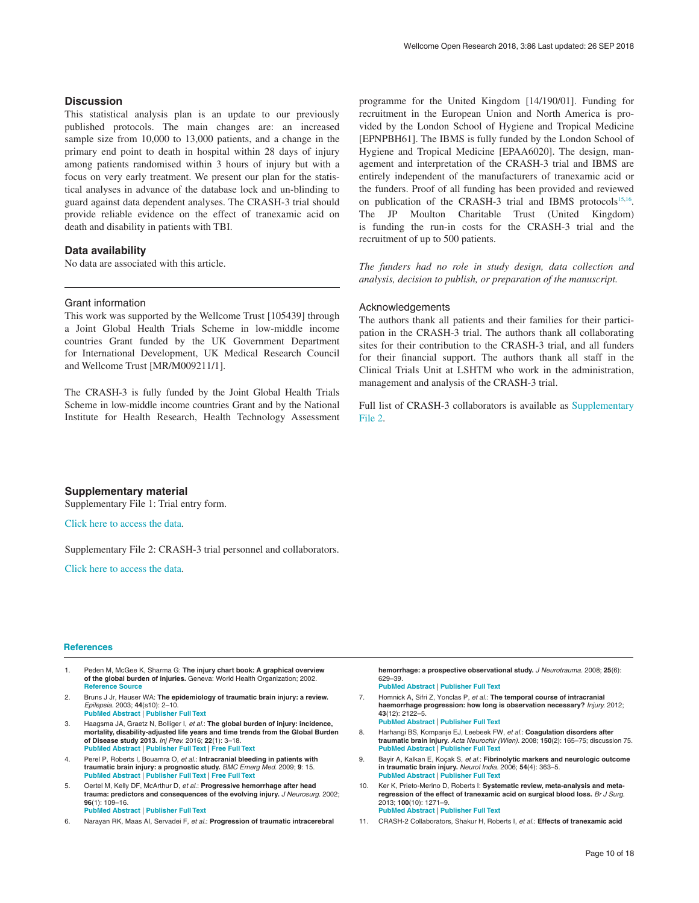#### <span id="page-11-0"></span>**Discussion**

This statistical analysis plan is an update to our previously published protocols. The main changes are: an increased sample size from 10,000 to 13,000 patients, and a change in the primary end point to death in hospital within 28 days of injury among patients randomised within 3 hours of injury but with a focus on very early treatment. We present our plan for the statistical analyses in advance of the database lock and un-blinding to guard against data dependent analyses. The CRASH-3 trial should provide reliable evidence on the effect of tranexamic acid on death and disability in patients with TBI.

#### **Data availability**

No data are associated with this article.

#### Grant information

This work was supported by the Wellcome Trust [105439] through a Joint Global Health Trials Scheme in low-middle income countries Grant funded by the UK Government Department for International Development, UK Medical Research Council and Wellcome Trust [MR/M009211/1].

The CRASH-3 is fully funded by the Joint Global Health Trials Scheme in low-middle income countries Grant and by the National Institute for Health Research, Health Technology Assessment programme for the United Kingdom [14/190/01]. Funding for recruitment in the European Union and North America is provided by the London School of Hygiene and Tropical Medicine [EPNPBH61]. The IBMS is fully funded by the London School of Hygiene and Tropical Medicine [EPAA6020]. The design, management and interpretation of the CRASH-3 trial and IBMS are entirely independent of the manufacturers of tranexamic acid or the funders. Proof of all funding has been provided and reviewed on publication of the CRASH-3 trial and IBMS protocols<sup>[15,16](#page-12-0)</sup>. The JP Moulton Charitable Trust (United Kingdom) is funding the run-in costs for the CRASH-3 trial and the recruitment of up to 500 patients.

*The funders had no role in study design, data collection and analysis, decision to publish, or preparation of the manuscript.*

#### Acknowledgements

The authors thank all patients and their families for their participation in the CRASH-3 trial. The authors thank all collaborating sites for their contribution to the CRASH-3 trial, and all funders for their financial support. The authors thank all staff in the Clinical Trials Unit at LSHTM who work in the administration, management and analysis of the CRASH-3 trial.

Full list of CRASH-3 collaborators is available as Supplementary File 2.

#### **Supplementary material**

Supplementary File 1: Trial entry form.

[Click here to access the data.](https://wellcomeopenresearch.s3.amazonaws.com/supplementary/14700/a4500eb1-7910-4ad1-ac1c-d7b551bfc547.pdf)

Supplementary File 2: CRASH-3 trial personnel and collaborators.

[Click here to access the data.](https://wellcomeopenresearch.s3.amazonaws.com/supplementary/14700/5edb07c6-6864-4492-aeb8-3c56f7cfa3ff.docx)

#### **References**

- 1. Peden M, McGee K, Sharma G: **The injury chart book: A graphical overview of the global burden of injuries.** Geneva: World Health Organization; 2002. **[Reference](http://apps.who.int/iris/bitstream/handle/10665/42566/924156220X.pdf?sequence=1&isAllowed=y) Source**
- 2. Bruns J Jr, Hauser WA: **The epidemiology of traumatic brain injury: a review.** *Epilepsia.* 2003; **44**(s10): 2–10. **PubMed [Abstract](http://www.ncbi.nlm.nih.gov/pubmed/14511388)** | **[Publisher](http://dx.doi.org/10.1046/j.1528-1157.44.s10.3.x) Full Text**
- 3. Haagsma JA, Graetz N, Bolliger I, *et al.*: **The global burden of injury: incidence,**<br>mortality, disability-adjusted life years and time trends from the Global Burden **of Disease study 2013.** *Inj Prev.* 2016; **22**(1): 3–18. **PubMed [Abstract](http://www.ncbi.nlm.nih.gov/pubmed/26635210)** | **[Publisher](http://dx.doi.org/10.1136/injuryprev-2015-041616) Full Text** | **[Free](http://www.ncbi.nlm.nih.gov/pmc/articles/4752630) Full Text**
- 4. Perel P, Roberts I, Bouamra O, *et al.*: **Intracranial bleeding in patients with traumatic brain injury: a prognostic study.** *BMC Emerg Med.* 2009; **9**: 15. **PubMed [Abstract](http://www.ncbi.nlm.nih.gov/pubmed/19650902)** | **[Publisher](http://dx.doi.org/10.1186/1471-227X-9-15) Full Text** | **[Free](http://www.ncbi.nlm.nih.gov/pmc/articles/2735732) Full Text**
- 5. Oertel M, Kelly DF, McArthur D, *et al.*: **Progressive hemorrhage after head trauma: predictors and consequences of the evolving injury.** *J Neurosurg.* 2002; **96**(1): 109–16. **PubMed [Abstract](http://www.ncbi.nlm.nih.gov/pubmed/11794591)** | **[Publisher](http://dx.doi.org/10.3171/jns.2002.96.1.0109) Full Text**
- 6. Narayan RK, Maas AI, Servadei F, *et al.*: **Progression of traumatic intracerebral**

**hemorrhage: a prospective observational study.** *J Neurotrauma.* 2008; **25**(6): 629–39.

- **PubMed [Abstract](http://www.ncbi.nlm.nih.gov/pubmed/18491950)** | **[Publisher](http://dx.doi.org/10.1089/neu.2007.0385) Full Text**
- 7. Homnick A, Sifri Z, Yonclas P, *et al.*: **The temporal course of intracranial haemorrhage progression: how long is observation necessary?** *Injury.* 2012; **43**(12): 2122–5. **PubMed [Abstract](http://www.ncbi.nlm.nih.gov/pubmed/22658418)** | **[Publisher](http://dx.doi.org/10.1016/j.injury.2012.04.013) Full Text**
- 8. Harhangi BS, Kompanje EJ, Leebeek FW, *et al.*: **Coagulation disorders after traumatic brain injury.** *Acta Neurochir (Wien).* 2008; **150**(2): 165–75; discussion 75. **PubMed [Abstract](http://www.ncbi.nlm.nih.gov/pubmed/18166989)** | **[Publisher](http://dx.doi.org/10.1007/s00701-007-1475-8) Full Text**
- 9. Bayir A, Kalkan E, Koçak S, *et al.*: **Fibrinolytic markers and neurologic outcome in traumatic brain injury.** *Neurol India.* 2006; **54**(4): 363–5. **PubMed [Abstract](http://www.ncbi.nlm.nih.gov/pubmed/17114843)** | **[Publisher](http://dx.doi.org/10.4103/0028-3886.28106) Full Text**
- 10. Ker K, Prieto-Merino D, Roberts I: **Systematic review, meta-analysis and metaregression of the effect of tranexamic acid on surgical blood loss.** *Br J Surg.* 2013; **100**(10): 1271–9. **PubMed [Abstract](http://www.ncbi.nlm.nih.gov/pubmed/23839785)** | **[Publisher](http://dx.doi.org/10.1002/bjs.9193) Full Text**
- 11. CRASH-2 Collaborators, Shakur H, Roberts I, *et al.*: **Effects of tranexamic acid**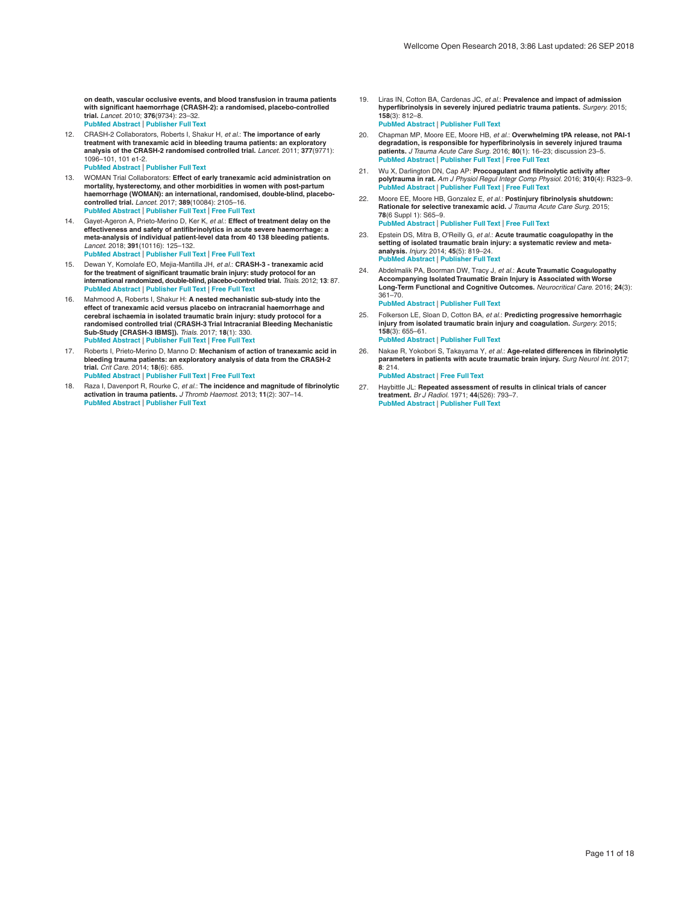<span id="page-12-0"></span>**on death, vascular occlusive events, and blood transfusion in trauma patients with significant haemorrhage (CRASH-2): a randomised, placebo-controlled trial.** *Lancet.* 2010; **376**(9734): 23–32. **PubMed [Abstract](http://www.ncbi.nlm.nih.gov/pubmed/20554319)** | **[Publisher](http://dx.doi.org/10.1016/S0140-6736(10)60835-5) Full Text**

- 12. CRASH-2 Collaborators, Roberts I, Shakur H, *et al.*: **The importance of early** treatment with tranexamic acid in bleeding trauma patients: an exploratory<br>analysis of the CRASH-2 randomised controlled trial. *Lancet.* 2011; 377(9771): 1096–101, 101 e1-2. **PubMed [Abstract](http://www.ncbi.nlm.nih.gov/pubmed/21439633)** | **[Publisher](http://dx.doi.org/10.1016/S0140-6736(11)60278-X) Full Text**
- 13. WOMAN Trial Collaborators: **Effect of early tranexamic acid administration on mortality, hysterectomy, and other morbidities in women with post-partum haemorrhage (WOMAN): an international, randomised, double-blind, placebo-controlled trial.** *Lancet.* 2017; **389**(10084): 2105–16. **PubMed [Abstract](http://www.ncbi.nlm.nih.gov/pubmed/28456509)** | **[Publisher](http://dx.doi.org/10.1016/S0140-6736(17)30638-4) Full Text** | **[Free](http://www.ncbi.nlm.nih.gov/pmc/articles/5446563) Full Text**
- 14. Gayet-Ageron A, Prieto-Merino D, Ker K, *et al.*: **Effect of treatment delay on the effectiveness and safety of antifibrinolytics in acute severe haemorrhage: a meta-analysis of individual patient-level data from 40 138 bleeding patients.** *Lancet.* 2018; **391**(10116): 125–132. **PubMed [Abstract](http://www.ncbi.nlm.nih.gov/pubmed/29126600)** | **[Publisher](http://dx.doi.org/10.1016/S0140-6736(17)32455-8) Full Text** | **[Free](http://www.ncbi.nlm.nih.gov/pmc/articles/5773762) Full Text**
- 15. Dewan Y, Komolafe EO, Mejia-Mantilla JH, *et al.*: **CRASH-3 - tranexamic acid** for the treatment of significant traumatic brain injury: study protocol for an<br>international randomized, double-blind, placebo-controlled trial. *Trials*: 2012; 13: 87. **PubMed [Abstract](http://www.ncbi.nlm.nih.gov/pubmed/22721545)** | **[Publisher](http://dx.doi.org/10.1186/1745-6215-13-87) Full Text** | **[Free](http://www.ncbi.nlm.nih.gov/pmc/articles/3481366) Full Text**
- 16. Mahmood A, Roberts I, Shakur H: **A nested mechanistic sub-study into the effect of tranexamic acid versus placebo on intracranial haemorrhage and cerebral ischaemia in isolated traumatic brain injury: study protocol for a randomised controlled trial (CRASH-3 Trial Intracranial Bleeding Mechanistic Sub-Study [CRASH-3 IBMS]).** *Trials.* 2017; **18**(1): 330. **PubMed [Abstract](http://www.ncbi.nlm.nih.gov/pubmed/28716153)** | **[Publisher](http://dx.doi.org/10.1186/s13063-017-2073-6) Full Text** | **[Free](http://www.ncbi.nlm.nih.gov/pmc/articles/5513059) Full Text**
- 17. Roberts I, Prieto-Merino D, Manno D: **Mechanism of action of tranexamic acid in bleeding trauma patients: an exploratory analysis of data from the CRASH-2 trial.** *Crit Care.* 2014; **18**(6): 685. **PubMed [Abstract](http://www.ncbi.nlm.nih.gov/pubmed/25498484)** | **[Publisher](http://dx.doi.org/10.1186/s13054-014-0685-8) Full Text** | **[Free](http://www.ncbi.nlm.nih.gov/pmc/articles/4277654) Full Text**
- 18. Raza I, Davenport R, Rourke C, *et al.*: **The incidence and magnitude of fibrinolytic activation in trauma patients.** *J Thromb Haemost.* 2013; **11**(2): 307–14. **PubMed [Abstract](http://www.ncbi.nlm.nih.gov/pubmed/23176206)** | **[Publisher](http://dx.doi.org/10.1111/jth.12078) Full Text**
- 19. Liras IN, Cotton BA, Cardenas JC, *et al.*: **Prevalence and impact of admission hyperfibrinolysis in severely injured pediatric trauma patients.** *Surgery.* 2015; **158**(3): 812–8. **PubMed [Abstract](http://www.ncbi.nlm.nih.gov/pubmed/26070849)** | **[Publisher](http://dx.doi.org/10.1016/j.surg.2015.05.004) Full Text**
- 20. Chapman MP, Moore EE, Moore HB, *et al.*: **Overwhelming tPA release, not PAI-1 degradation, is responsible for hyperfibrinolysis in severely injured trauma patients.** *J Trauma Acute Care Surg.* 2016; **80**(1): 16–23; discussion 23–5. **PubMed [Abstract](http://www.ncbi.nlm.nih.gov/pubmed/26491796)** | **[Publisher](http://dx.doi.org/10.1097/TA.0000000000000885) Full Text** | **[Free](http://www.ncbi.nlm.nih.gov/pmc/articles/4688194) Full Text**
- 21. Wu X, Darlington DN, Cap AP: Procoagulant and fibrinolytic activity after polytrauma in rat. Am J Physiol Regul Integr Comp Physiol. 2016; 310(4): R323-9. **PubMed [Abstract](http://www.ncbi.nlm.nih.gov/pubmed/26632604)** | **[Publisher](http://dx.doi.org/10.1152/ajpregu.00401.2015) Full Text** | **[Free](http://www.ncbi.nlm.nih.gov/pmc/articles/4796743) Full Text**
- 22. Moore EE, Moore HB, Gonzalez E, *et al.*: **Postinjury fibrinolysis shutdown: Rationale for selective tranexamic acid.** *J Trauma Acute Care Surg.* 2015; **78**(6 Suppl 1): S65–9. **PubMed [Abstract](http://www.ncbi.nlm.nih.gov/pubmed/26002266)** | **[Publisher](http://dx.doi.org/10.1097/TA.0000000000000634) Full Text** | **[Free](http://www.ncbi.nlm.nih.gov/pmc/articles/4443855) Full Text**
- 23. Epstein DS, Mitra B, O'Reilly G, *et al.*: **Acute traumatic coagulopathy in the setting of isolated traumatic brain injury: a systematic review and metaanalysis.** *Injury.* 2014; **45**(5): 819–24. **PubMed [Abstract](http://www.ncbi.nlm.nih.gov/pubmed/24529718)** | **[Publisher](http://dx.doi.org/10.1016/j.injury.2014.01.011) Full Text**
- 24. Abdelmalik PA, Boorman DW, Tracy J, *et al.*: **Acute Traumatic Coagulopathy Accompanying Isolated Traumatic Brain Injury is Associated with Worse Long-Term Functional and Cognitive Outcomes.** *Neurocritical Care.* 2016; **24**(3): 361–70.

**PubMed [Abstract](http://www.ncbi.nlm.nih.gov/pubmed/26293923)** | **[Publisher](http://dx.doi.org/10.1007/s12028-015-0191-0) Full Text**

- 25. Folkerson LE, Sloan D, Cotton BA, *et al.*: **Predicting progressive hemorrhagic injury from isolated traumatic brain injury and coagulation.** *Surgery.* 2015; **158**(3): 655–61. **PubMed [Abstract](http://www.ncbi.nlm.nih.gov/pubmed/26067457)** | **[Publisher](http://dx.doi.org/10.1016/j.surg.2015.02.029) Full Text**
- 26. Nakae R, Yokobori S, Takayama Y, *et al.*: **Age-related differences in fibrinolytic parameters in patients with acute traumatic brain injury.** *Surg Neurol Int.* 2017; **8**: 214.
- **PubMed [Abstract](http://www.ncbi.nlm.nih.gov/pubmed/28966820)** | **[Free](http://www.ncbi.nlm.nih.gov/pmc/articles/5609444) Full Text**
- 27. Haybittle JL: **Repeated assessment of results in clinical trials of cancer treatment.** *Br J Radiol.* 1971; **44**(526): 793–7. **PubMed [Abstract](http://www.ncbi.nlm.nih.gov/pubmed/4940475)** | **[Publisher](http://dx.doi.org/10.1259/0007-1285-44-526-793) Full Text**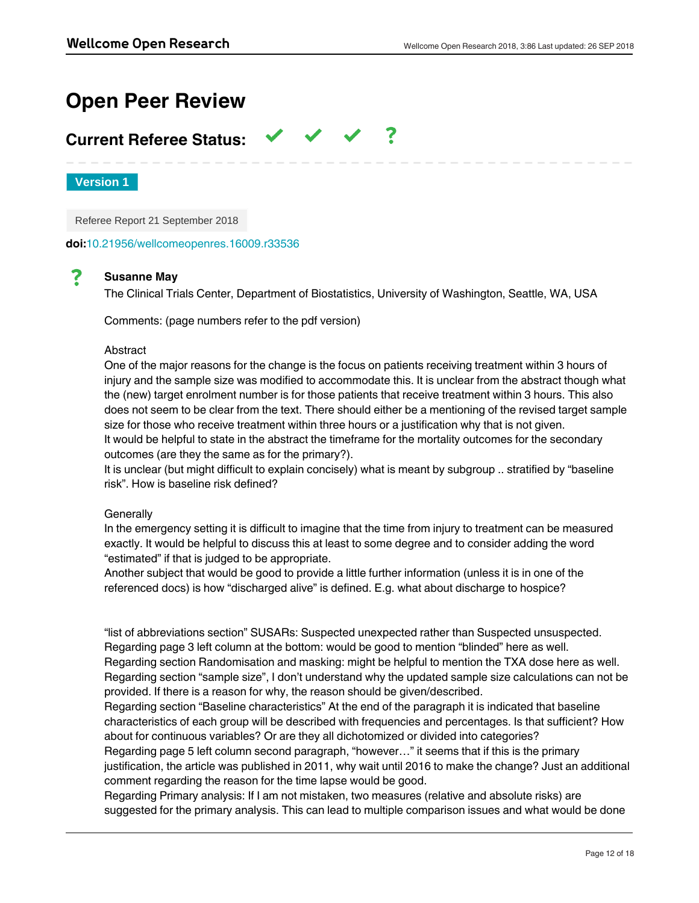# **Open Peer Review**

# **Current Referee Status:**

**Version 1**

Referee Report 21 September 2018

**doi:**[10.21956/wellcomeopenres.16009.r33536](http://dx.doi.org/10.21956/wellcomeopenres.16009.r33536)

#### ? **Susanne May**

The Clinical Trials Center, Department of Biostatistics, University of Washington, Seattle, WA, USA

Comments: (page numbers refer to the pdf version)

#### Abstract

One of the major reasons for the change is the focus on patients receiving treatment within 3 hours of injury and the sample size was modified to accommodate this. It is unclear from the abstract though what the (new) target enrolment number is for those patients that receive treatment within 3 hours. This also does not seem to be clear from the text. There should either be a mentioning of the revised target sample size for those who receive treatment within three hours or a justification why that is not given. It would be helpful to state in the abstract the timeframe for the mortality outcomes for the secondary outcomes (are they the same as for the primary?).

It is unclear (but might difficult to explain concisely) what is meant by subgroup .. stratified by "baseline risk". How is baseline risk defined?

### **Generally**

In the emergency setting it is difficult to imagine that the time from injury to treatment can be measured exactly. It would be helpful to discuss this at least to some degree and to consider adding the word "estimated" if that is judged to be appropriate.

Another subject that would be good to provide a little further information (unless it is in one of the referenced docs) is how "discharged alive" is defined. E.g. what about discharge to hospice?

"list of abbreviations section" SUSARs: Suspected unexpected rather than Suspected unsuspected. Regarding page 3 left column at the bottom: would be good to mention "blinded" here as well. Regarding section Randomisation and masking: might be helpful to mention the TXA dose here as well. Regarding section "sample size", I don't understand why the updated sample size calculations can not be provided. If there is a reason for why, the reason should be given/described.

Regarding section "Baseline characteristics" At the end of the paragraph it is indicated that baseline characteristics of each group will be described with frequencies and percentages. Is that sufficient? How about for continuous variables? Or are they all dichotomized or divided into categories?

Regarding page 5 left column second paragraph, "however…" it seems that if this is the primary justification, the article was published in 2011, why wait until 2016 to make the change? Just an additional comment regarding the reason for the time lapse would be good.

Regarding Primary analysis: If I am not mistaken, two measures (relative and absolute risks) are suggested for the primary analysis. This can lead to multiple comparison issues and what would be done

if the results were contradictory? It would be best to choose one specific analysis for the primary analysis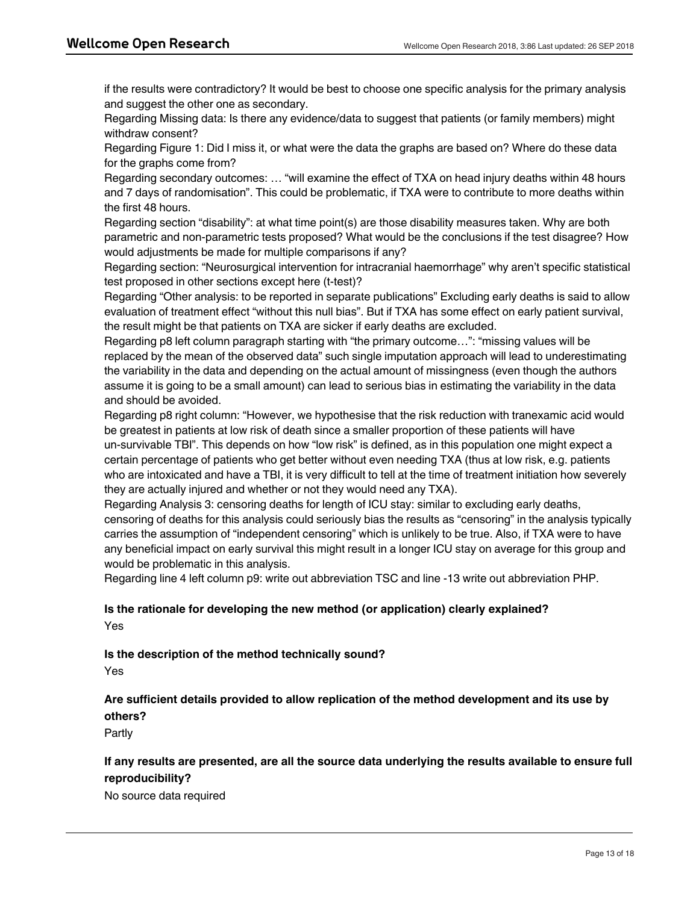if the results were contradictory? It would be best to choose one specific analysis for the primary analysis and suggest the other one as secondary.

Regarding Missing data: Is there any evidence/data to suggest that patients (or family members) might withdraw consent?

Regarding Figure 1: Did I miss it, or what were the data the graphs are based on? Where do these data for the graphs come from?

Regarding secondary outcomes: … "will examine the effect of TXA on head injury deaths within 48 hours and 7 days of randomisation". This could be problematic, if TXA were to contribute to more deaths within the first 48 hours.

Regarding section "disability": at what time point(s) are those disability measures taken. Why are both parametric and non-parametric tests proposed? What would be the conclusions if the test disagree? How would adjustments be made for multiple comparisons if any?

Regarding section: "Neurosurgical intervention for intracranial haemorrhage" why aren't specific statistical test proposed in other sections except here (t-test)?

Regarding "Other analysis: to be reported in separate publications" Excluding early deaths is said to allow evaluation of treatment effect "without this null bias". But if TXA has some effect on early patient survival, the result might be that patients on TXA are sicker if early deaths are excluded.

Regarding p8 left column paragraph starting with "the primary outcome…": "missing values will be replaced by the mean of the observed data" such single imputation approach will lead to underestimating the variability in the data and depending on the actual amount of missingness (even though the authors assume it is going to be a small amount) can lead to serious bias in estimating the variability in the data and should be avoided.

Regarding p8 right column: "However, we hypothesise that the risk reduction with tranexamic acid would be greatest in patients at low risk of death since a smaller proportion of these patients will have un-survivable TBI". This depends on how "low risk" is defined, as in this population one might expect a certain percentage of patients who get better without even needing TXA (thus at low risk, e.g. patients who are intoxicated and have a TBI, it is very difficult to tell at the time of treatment initiation how severely they are actually injured and whether or not they would need any TXA).

Regarding Analysis 3: censoring deaths for length of ICU stay: similar to excluding early deaths, censoring of deaths for this analysis could seriously bias the results as "censoring" in the analysis typically carries the assumption of "independent censoring" which is unlikely to be true. Also, if TXA were to have any beneficial impact on early survival this might result in a longer ICU stay on average for this group and would be problematic in this analysis.

Regarding line 4 left column p9: write out abbreviation TSC and line -13 write out abbreviation PHP.

# **Is the rationale for developing the new method (or application) clearly explained?** Yes

**Is the description of the method technically sound?**

Yes

# **Are sufficient details provided to allow replication of the method development and its use by others?**

Partly

# **If any results are presented, are all the source data underlying the results available to ensure full reproducibility?**

**Are the conclusions about the method and its performance adequately supported by the**

No source data required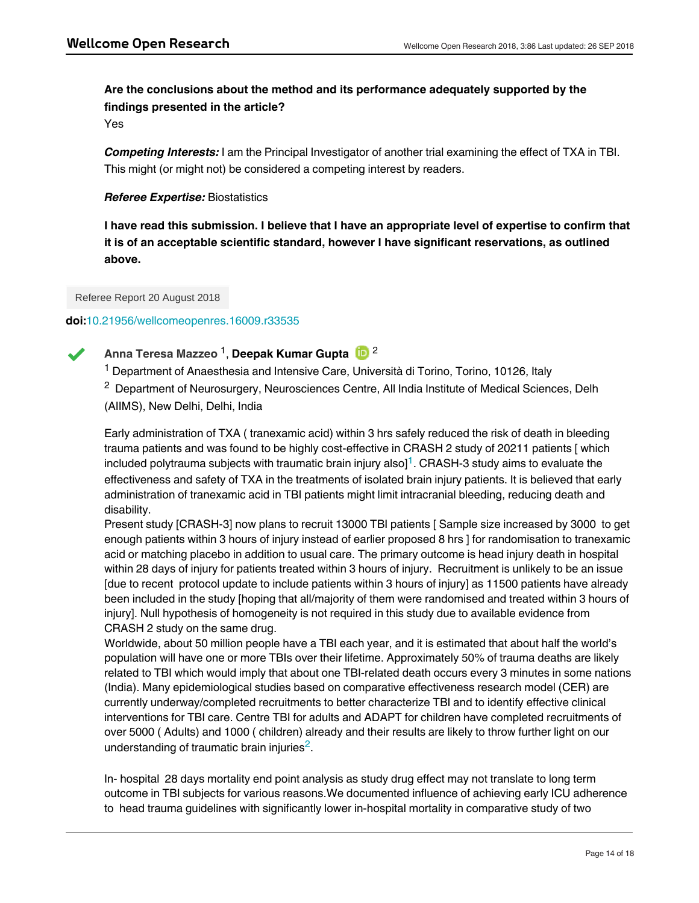# **Are the conclusions about the method and its performance adequately supported by the findings presented in the article?**

Yes

*Competing Interests:* I am the Principal Investigator of another trial examining the effect of TXA in TBI. This might (or might not) be considered a competing interest by readers.

## *Referee Expertise:* Biostatistics

**I have read this submission. I believe that I have an appropriate level of expertise to confirm that it is of an acceptable scientific standard, however I have significant reservations, as outlined above.**

Referee Report 20 August 2018

## **doi:**[10.21956/wellcomeopenres.16009.r33535](http://dx.doi.org/10.21956/wellcomeopenres.16009.r33535)



# Anna Teresa Mazzeo <sup>1</sup>, **Deepak Kumar Gupta** (<mark>D</mark> <sup>2</sup>

<sup>1</sup> Department of Anaesthesia and Intensive Care, Università di Torino, Torino, 10126, Italy

 $2$  Department of Neurosurgery, Neurosciences Centre, All India Institute of Medical Sciences, Delh (AIIMS), New Delhi, Delhi, India

Early administration of TXA ( tranexamic acid) within 3 hrs safely reduced the risk of death in bleeding trauma patients and was found to be highly cost-effective in CRASH 2 study of 20211 patients [ which included polytrauma subjects with traumatic brain injury also] $^\text{1}$  $^\text{1}$  $^\text{1}$ . CRASH-3 study aims to evaluate the effectiveness and safety of TXA in the treatments of isolated brain injury patients. It is believed that early administration of tranexamic acid in TBI patients might limit intracranial bleeding, reducing death and disability.

Present study [CRASH-3] now plans to recruit 13000 TBI patients [ Sample size increased by 3000 to get enough patients within 3 hours of injury instead of earlier proposed 8 hrs ] for randomisation to tranexamic acid or matching placebo in addition to usual care. The primary outcome is head injury death in hospital within 28 days of injury for patients treated within 3 hours of injury. Recruitment is unlikely to be an issue [due to recent protocol update to include patients within 3 hours of injury] as 11500 patients have already been included in the study [hoping that all/majority of them were randomised and treated within 3 hours of injury]. Null hypothesis of homogeneity is not required in this study due to available evidence from CRASH 2 study on the same drug.

Worldwide, about 50 million people have a TBI each year, and it is estimated that about half the world's population will have one or more TBIs over their lifetime. Approximately 50% of trauma deaths are likely related to TBI which would imply that about one TBI-related death occurs every 3 minutes in some nations (India). Many epidemiological studies based on comparative effectiveness research model (CER) are currently underway/completed recruitments to better characterize TBI and to identify effective clinical interventions for TBI care. Centre TBI for adults and ADAPT for children have completed recruitments of over 5000 ( Adults) and 1000 ( children) already and their results are likely to throw further light on our understanding of traumatic brain injuries<sup>[2](#page-16-1)</sup>.

In- hospital 28 days mortality end point analysis as study drug effect may not translate to long term outcome in TBI subjects for various reasons.We documented influence of achieving early ICU adherence to head trauma guidelines with significantly lower in-hospital mortality in comparative study of two

centres. Although long-term outcomes generally improved, patients discharged with favourable GOS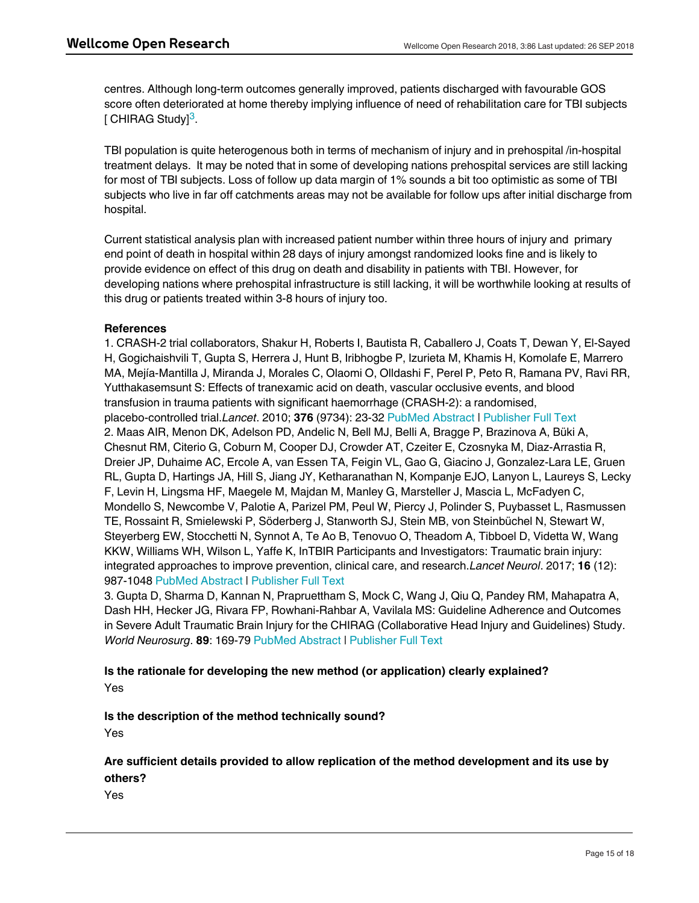centres. Although long-term outcomes generally improved, patients discharged with favourable GOS score often deteriorated at home thereby implying influence of need of rehabilitation care for TBI subjects [ CHIRAG Study]<sup>[3](#page-16-2)</sup>.

TBI population is quite heterogenous both in terms of mechanism of injury and in prehospital /in-hospital treatment delays. It may be noted that in some of developing nations prehospital services are still lacking for most of TBI subjects. Loss of follow up data margin of 1% sounds a bit too optimistic as some of TBI subjects who live in far off catchments areas may not be available for follow ups after initial discharge from hospital.

Current statistical analysis plan with increased patient number within three hours of injury and primary end point of death in hospital within 28 days of injury amongst randomized looks fine and is likely to provide evidence on effect of this drug on death and disability in patients with TBI. However, for developing nations where prehospital infrastructure is still lacking, it will be worthwhile looking at results of this drug or patients treated within 3-8 hours of injury too.

## **References**

<span id="page-16-1"></span><span id="page-16-0"></span>1. CRASH-2 trial collaborators, Shakur H, Roberts I, Bautista R, Caballero J, Coats T, Dewan Y, El-Sayed H, Gogichaishvili T, Gupta S, Herrera J, Hunt B, Iribhogbe P, Izurieta M, Khamis H, Komolafe E, Marrero MA, Mejía-Mantilla J, Miranda J, Morales C, Olaomi O, Olldashi F, Perel P, Peto R, Ramana PV, Ravi RR, Yutthakasemsunt S: Effects of tranexamic acid on death, vascular occlusive events, and blood transfusion in trauma patients with significant haemorrhage (CRASH-2): a randomised, placebo-controlled trial.*Lancet*. 2010; **376** (9734): 23-32 [PubMed Abstract](http://www.ncbi.nlm.nih.gov/pubmed/20554319) | [Publisher Full Text](http://dx.doi.org/10.1016/S0140-6736(10)60835-5) 2. Maas AIR, Menon DK, Adelson PD, Andelic N, Bell MJ, Belli A, Bragge P, Brazinova A, Büki A, Chesnut RM, Citerio G, Coburn M, Cooper DJ, Crowder AT, Czeiter E, Czosnyka M, Diaz-Arrastia R, Dreier JP, Duhaime AC, Ercole A, van Essen TA, Feigin VL, Gao G, Giacino J, Gonzalez-Lara LE, Gruen RL, Gupta D, Hartings JA, Hill S, Jiang JY, Ketharanathan N, Kompanje EJO, Lanyon L, Laureys S, Lecky F, Levin H, Lingsma HF, Maegele M, Majdan M, Manley G, Marsteller J, Mascia L, McFadyen C, Mondello S, Newcombe V, Palotie A, Parizel PM, Peul W, Piercy J, Polinder S, Puybasset L, Rasmussen TE, Rossaint R, Smielewski P, Söderberg J, Stanworth SJ, Stein MB, von Steinbüchel N, Stewart W, Steyerberg EW, Stocchetti N, Synnot A, Te Ao B, Tenovuo O, Theadom A, Tibboel D, Videtta W, Wang KKW, Williams WH, Wilson L, Yaffe K, InTBIR Participants and Investigators: Traumatic brain injury: integrated approaches to improve prevention, clinical care, and research.*Lancet Neurol*. 2017; **16** (12): 987-1048 [PubMed Abstract](http://www.ncbi.nlm.nih.gov/pubmed/29122524) | [Publisher Full Text](http://dx.doi.org/10.1016/S1474-4422(17)30371-X)

<span id="page-16-2"></span>3. Gupta D, Sharma D, Kannan N, Prapruettham S, Mock C, Wang J, Qiu Q, Pandey RM, Mahapatra A, Dash HH, Hecker JG, Rivara FP, Rowhani-Rahbar A, Vavilala MS: Guideline Adherence and Outcomes in Severe Adult Traumatic Brain Injury for the CHIRAG (Collaborative Head Injury and Guidelines) Study. *World Neurosurg*. **89**: 169-79 [PubMed Abstract](http://www.ncbi.nlm.nih.gov/pubmed/26806065) | [Publisher Full Text](http://dx.doi.org/10.1016/j.wneu.2015.12.097)

# **Is the rationale for developing the new method (or application) clearly explained?** Yes

**Is the description of the method technically sound?**

Yes

# **Are sufficient details provided to allow replication of the method development and its use by others?**

**If any results are presented, are all the source data underlying the results available to ensure full**

Yes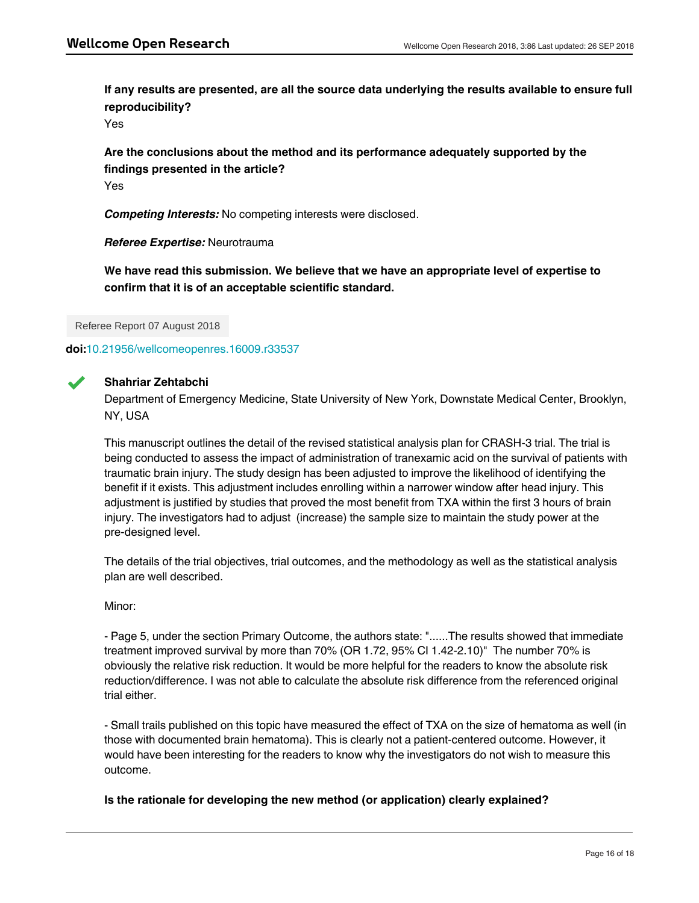**If any results are presented, are all the source data underlying the results available to ensure full reproducibility?**

Yes

**Are the conclusions about the method and its performance adequately supported by the findings presented in the article?** Yes

*Competing Interests:* No competing interests were disclosed.

*Referee Expertise:* Neurotrauma

**We have read this submission. We believe that we have an appropriate level of expertise to confirm that it is of an acceptable scientific standard.**

Referee Report 07 August 2018

**doi:**[10.21956/wellcomeopenres.16009.r33537](http://dx.doi.org/10.21956/wellcomeopenres.16009.r33537)



# **Shahriar Zehtabchi**

Department of Emergency Medicine, State University of New York, Downstate Medical Center, Brooklyn, NY, USA

This manuscript outlines the detail of the revised statistical analysis plan for CRASH-3 trial. The trial is being conducted to assess the impact of administration of tranexamic acid on the survival of patients with traumatic brain injury. The study design has been adjusted to improve the likelihood of identifying the benefit if it exists. This adjustment includes enrolling within a narrower window after head injury. This adjustment is justified by studies that proved the most benefit from TXA within the first 3 hours of brain injury. The investigators had to adjust (increase) the sample size to maintain the study power at the pre-designed level.

The details of the trial objectives, trial outcomes, and the methodology as well as the statistical analysis plan are well described.

Minor:

Yes

- Page 5, under the section Primary Outcome, the authors state: "......The results showed that immediate treatment improved survival by more than 70% (OR 1.72, 95% CI 1.42-2.10)" The number 70% is obviously the relative risk reduction. It would be more helpful for the readers to know the absolute risk reduction/difference. I was not able to calculate the absolute risk difference from the referenced original trial either.

- Small trails published on this topic have measured the effect of TXA on the size of hematoma as well (in those with documented brain hematoma). This is clearly not a patient-centered outcome. However, it would have been interesting for the readers to know why the investigators do not wish to measure this outcome.

**Is the rationale for developing the new method (or application) clearly explained?**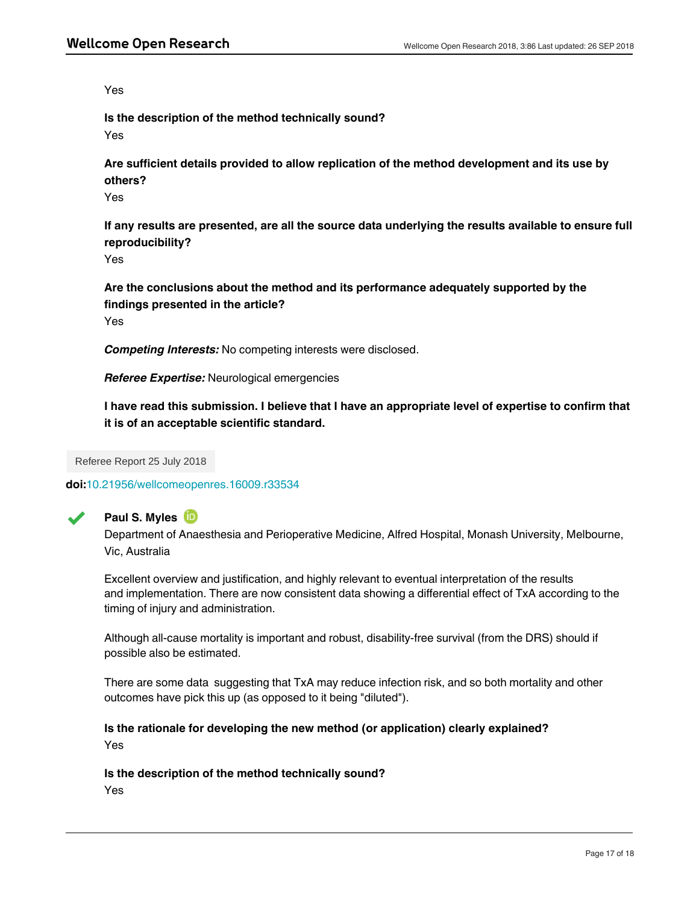Yes

**Is the description of the method technically sound?**

Yes

**Are sufficient details provided to allow replication of the method development and its use by others?**

Yes

**If any results are presented, are all the source data underlying the results available to ensure full reproducibility?**

Yes

**Are the conclusions about the method and its performance adequately supported by the findings presented in the article?** Yes

*Competing Interests:* No competing interests were disclosed.

*Referee Expertise:* Neurological emergencies

**I have read this submission. I believe that I have an appropriate level of expertise to confirm that it is of an acceptable scientific standard.**

Referee Report 25 July 2018

**doi:**[10.21956/wellcomeopenres.16009.r33534](http://dx.doi.org/10.21956/wellcomeopenres.16009.r33534)



# **Paul S. Myles**

Department of Anaesthesia and Perioperative Medicine, Alfred Hospital, Monash University, Melbourne, Vic, Australia

Excellent overview and justification, and highly relevant to eventual interpretation of the results and implementation. There are now consistent data showing a differential effect of TxA according to the timing of injury and administration.

Although all-cause mortality is important and robust, disability-free survival (from the DRS) should if possible also be estimated.

There are some data suggesting that TxA may reduce infection risk, and so both mortality and other outcomes have pick this up (as opposed to it being "diluted").

**Are sufficient details provided to allow replication of the method development and its use by**

**Is the rationale for developing the new method (or application) clearly explained?** Yes

**Is the description of the method technically sound?** Yes